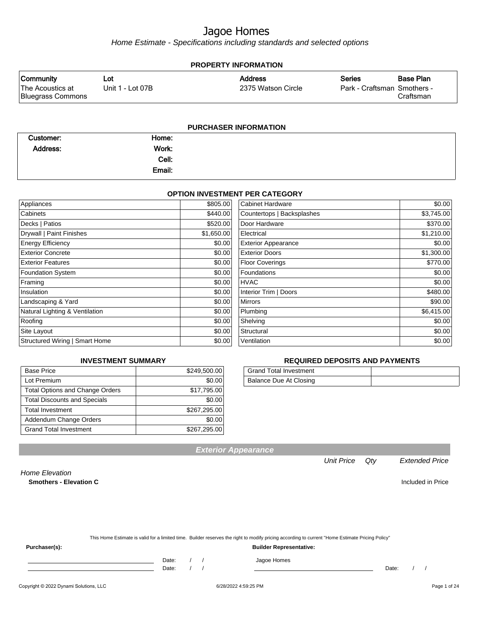Home Estimate - Specifications including standards and selected options

| <b>PROPERTY INFORMATION</b>           |                  |                    |                             |           |  |
|---------------------------------------|------------------|--------------------|-----------------------------|-----------|--|
| <b>Community</b>                      | Lot              | <b>Address</b>     | <b>Series</b>               | Base Plan |  |
| The Acoustics at<br>Bluegrass Commons | Unit 1 - Lot 07B | 2375 Watson Circle | Park - Craftsman Smothers - | Craftsman |  |
|                                       |                  |                    |                             |           |  |

#### **PURCHASER INFORMATION**

| Customer:       | Home:  |  |
|-----------------|--------|--|
| <b>Address:</b> | Work:  |  |
|                 | Cell:  |  |
|                 | Email: |  |

#### **OPTION INVESTMENT PER CATEGORY**

| Appliances                     | \$805.00   | <b>Cabinet Hardware</b>    | \$0.00     |
|--------------------------------|------------|----------------------------|------------|
| Cabinets                       | \$440.00   | Countertops   Backsplashes | \$3,745.00 |
| Decks   Patios                 | \$520.00   | Door Hardware              | \$370.00   |
| Drywall   Paint Finishes       | \$1,650.00 | Electrical                 | \$1,210.00 |
| <b>Energy Efficiency</b>       | \$0.00     | <b>Exterior Appearance</b> | \$0.00     |
| <b>Exterior Concrete</b>       | \$0.00     | <b>Exterior Doors</b>      | \$1,300.00 |
| <b>Exterior Features</b>       | \$0.00     | <b>Floor Coverings</b>     | \$770.00   |
| <b>Foundation System</b>       | \$0.00     | Foundations                | \$0.00     |
| Framing                        | \$0.00     | <b>HVAC</b>                | \$0.00     |
| Insulation                     | \$0.00     | Interior Trim   Doors      | \$480.00   |
| Landscaping & Yard             | \$0.00     | <b>Mirrors</b>             | \$90.00    |
| Natural Lighting & Ventilation | \$0.00     | Plumbing                   | \$6,415.00 |
| Roofing                        | \$0.00     | Shelving                   | \$0.00     |
| Site Layout                    | \$0.00     | Structural                 | \$0.00     |
| Structured Wiring   Smart Home | \$0.00     | Ventilation                | \$0.00     |
|                                |            |                            |            |

#### **INVESTMENT SUMMARY**

| <b>Base Price</b>                      | \$249,500.00 |
|----------------------------------------|--------------|
| Lot Premium                            | \$0.00       |
| <b>Total Options and Change Orders</b> | \$17,795.00  |
| <b>Total Discounts and Specials</b>    | \$0.00       |
| <b>Total Investment</b>                | \$267,295.00 |
| Addendum Change Orders                 | \$0.00       |
| <b>Grand Total Investment</b>          | \$267,295.00 |

#### **REQUIRED DEPOSITS AND PAYMENTS**

| <b>Grand Total Investment</b> |  |
|-------------------------------|--|
| Balance Due At Closing        |  |

**Exterior Appearance**

#### Unit Price Qty Extended Price

Home Elevation **Smothers - Elevation C** Included in Price

| This Home Estimate is valid for a limited time. Builder reserves the right to modify pricing according to current "Home Estimate Pricing Policy" |
|--------------------------------------------------------------------------------------------------------------------------------------------------|
|                                                                                                                                                  |

**Purchaser(s): Builder Representative:**

Date: / / Jagoe Homes<br>Date: / / Jagoe Homes

Date: / / Date: / /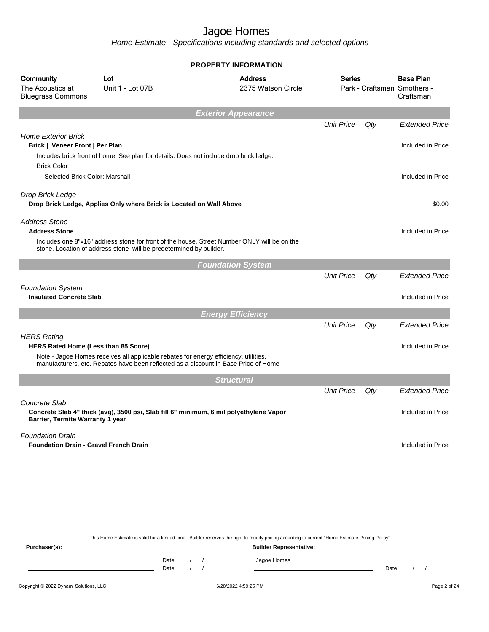|                                                                          |                                                                                                                                                                             |                                            | <b>PROPERTY INFORMATION</b>                                                                                                                                                        |                   |       |                                                              |
|--------------------------------------------------------------------------|-----------------------------------------------------------------------------------------------------------------------------------------------------------------------------|--------------------------------------------|------------------------------------------------------------------------------------------------------------------------------------------------------------------------------------|-------------------|-------|--------------------------------------------------------------|
| Community<br>The Acoustics at<br><b>Bluegrass Commons</b>                | Lot<br>Unit 1 - Lot 07B                                                                                                                                                     |                                            | <b>Address</b><br>2375 Watson Circle                                                                                                                                               | <b>Series</b>     |       | <b>Base Plan</b><br>Park - Craftsman Smothers -<br>Craftsman |
|                                                                          |                                                                                                                                                                             |                                            | <b>Exterior Appearance</b>                                                                                                                                                         |                   |       |                                                              |
|                                                                          |                                                                                                                                                                             |                                            |                                                                                                                                                                                    | <b>Unit Price</b> | Qty   | <b>Extended Price</b>                                        |
| <b>Home Exterior Brick</b><br>Brick   Veneer Front   Per Plan            | Includes brick front of home. See plan for details. Does not include drop brick ledge.                                                                                      |                                            |                                                                                                                                                                                    |                   |       | Included in Price                                            |
| <b>Brick Color</b><br>Selected Brick Color: Marshall                     |                                                                                                                                                                             |                                            |                                                                                                                                                                                    |                   |       | Included in Price                                            |
| Drop Brick Ledge                                                         | Drop Brick Ledge, Applies Only where Brick is Located on Wall Above                                                                                                         |                                            |                                                                                                                                                                                    |                   |       | \$0.00                                                       |
| <b>Address Stone</b><br><b>Address Stone</b>                             | Includes one 8"x16" address stone for front of the house. Street Number ONLY will be on the<br>stone. Location of address stone will be predetermined by builder.           |                                            |                                                                                                                                                                                    |                   |       | Included in Price                                            |
|                                                                          |                                                                                                                                                                             |                                            | <b>Foundation System</b>                                                                                                                                                           |                   |       |                                                              |
|                                                                          |                                                                                                                                                                             |                                            |                                                                                                                                                                                    | <b>Unit Price</b> | Qty   | <b>Extended Price</b>                                        |
| <b>Foundation System</b><br><b>Insulated Concrete Slab</b>               |                                                                                                                                                                             |                                            |                                                                                                                                                                                    |                   |       | Included in Price                                            |
|                                                                          |                                                                                                                                                                             |                                            | <b>Energy Efficiency</b>                                                                                                                                                           |                   |       |                                                              |
|                                                                          |                                                                                                                                                                             |                                            |                                                                                                                                                                                    | <b>Unit Price</b> | Qty   | <b>Extended Price</b>                                        |
| <b>HERS Rating</b><br><b>HERS Rated Home (Less than 85 Score)</b>        |                                                                                                                                                                             |                                            |                                                                                                                                                                                    |                   |       | Included in Price                                            |
|                                                                          | Note - Jagoe Homes receives all applicable rebates for energy efficiency, utilities,<br>manufacturers, etc. Rebates have been reflected as a discount in Base Price of Home |                                            |                                                                                                                                                                                    |                   |       |                                                              |
|                                                                          |                                                                                                                                                                             |                                            | <b>Structural</b>                                                                                                                                                                  |                   |       |                                                              |
|                                                                          |                                                                                                                                                                             |                                            |                                                                                                                                                                                    | <b>Unit Price</b> | Qty   | <b>Extended Price</b>                                        |
| Concrete Slab<br>Barrier, Termite Warranty 1 year                        | Concrete Slab 4" thick (avg), 3500 psi, Slab fill 6" minimum, 6 mil polyethylene Vapor                                                                                      |                                            |                                                                                                                                                                                    |                   |       | Included in Price                                            |
| <b>Foundation Drain</b><br><b>Foundation Drain - Gravel French Drain</b> |                                                                                                                                                                             |                                            |                                                                                                                                                                                    |                   |       | Included in Price                                            |
|                                                                          |                                                                                                                                                                             |                                            |                                                                                                                                                                                    |                   |       |                                                              |
|                                                                          |                                                                                                                                                                             |                                            |                                                                                                                                                                                    |                   |       |                                                              |
| Purchaser(s):                                                            |                                                                                                                                                                             |                                            | This Home Estimate is valid for a limited time. Builder reserves the right to modify pricing according to current "Home Estimate Pricing Policy"<br><b>Builder Representative:</b> |                   |       |                                                              |
|                                                                          | Date:<br>the control of the control of the control of the control of the control of<br>Date:                                                                                | $\left  \right $<br>$\prime$<br>$\sqrt{ }$ | Jagoe Homes                                                                                                                                                                        |                   | Date: | $\prime$<br>$\overline{\phantom{a}}$                         |
| Copyright © 2022 Dynami Solutions, LLC                                   |                                                                                                                                                                             |                                            | 6/28/2022 4:59:25 PM                                                                                                                                                               |                   |       | Page 2 of 24                                                 |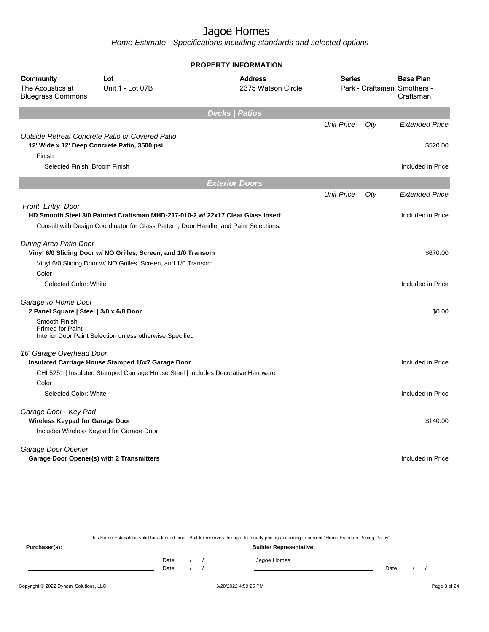| <b>PROPERTY INFORMATION</b>                                     |                                                                                                 |                                      |                                              |     |                               |  |
|-----------------------------------------------------------------|-------------------------------------------------------------------------------------------------|--------------------------------------|----------------------------------------------|-----|-------------------------------|--|
| Community<br>The Acoustics at<br><b>Bluegrass Commons</b>       | Lot<br>Unit 1 - Lot 07B                                                                         | <b>Address</b><br>2375 Watson Circle | <b>Series</b><br>Park - Craftsman Smothers - |     | <b>Base Plan</b><br>Craftsman |  |
|                                                                 |                                                                                                 | <b>Decks   Patios</b>                |                                              |     |                               |  |
|                                                                 |                                                                                                 |                                      | <b>Unit Price</b>                            | Qty | <b>Extended Price</b>         |  |
| Finish                                                          | Outside Retreat Concrete Patio or Covered Patio<br>12' Wide x 12' Deep Concrete Patio, 3500 psi |                                      |                                              |     | \$520.00                      |  |
| Selected Finish: Broom Finish                                   |                                                                                                 |                                      |                                              |     | Included in Price             |  |
|                                                                 |                                                                                                 | <b>Exterior Doors</b>                |                                              |     |                               |  |
|                                                                 |                                                                                                 |                                      | <b>Unit Price</b>                            | Qty | <b>Extended Price</b>         |  |
| Front Entry Door                                                |                                                                                                 |                                      |                                              |     |                               |  |
|                                                                 | HD Smooth Steel 3/0 Painted Craftsman MHD-217-010-2 w/ 22x17 Clear Glass Insert                 |                                      |                                              |     | Included in Price             |  |
|                                                                 | Consult with Design Coordinator for Glass Pattern, Door Handle, and Paint Selections.           |                                      |                                              |     |                               |  |
| Dining Area Patio Door                                          |                                                                                                 |                                      |                                              |     |                               |  |
|                                                                 | Vinyl 6/0 Sliding Door w/ NO Grilles, Screen, and 1/0 Transom                                   |                                      |                                              |     | \$670.00                      |  |
|                                                                 | Vinyl 6/0 Sliding Door w/ NO Grilles, Screen, and 1/0 Transom                                   |                                      |                                              |     |                               |  |
| Color                                                           |                                                                                                 |                                      |                                              |     |                               |  |
| Selected Color: White                                           |                                                                                                 |                                      |                                              |     | Included in Price             |  |
| Garage-to-Home Door                                             |                                                                                                 |                                      |                                              |     |                               |  |
| 2 Panel Square   Steel   3/0 x 6/8 Door                         |                                                                                                 |                                      |                                              |     | \$0.00                        |  |
| Smooth Finish<br><b>Primed for Paint</b>                        | Interior Door Paint Selection unless otherwise Specified                                        |                                      |                                              |     |                               |  |
|                                                                 |                                                                                                 |                                      |                                              |     |                               |  |
| 16' Garage Overhead Door                                        | Insulated Carriage House Stamped 16x7 Garage Door                                               |                                      |                                              |     | Included in Price             |  |
|                                                                 | CHI 5251   Insulated Stamped Carriage House Steel   Includes Decorative Hardware                |                                      |                                              |     |                               |  |
| Color                                                           |                                                                                                 |                                      |                                              |     |                               |  |
| Selected Color: White                                           |                                                                                                 |                                      |                                              |     | Included in Price             |  |
|                                                                 |                                                                                                 |                                      |                                              |     |                               |  |
| Garage Door - Key Pad<br><b>Wireless Keypad for Garage Door</b> |                                                                                                 |                                      |                                              |     | \$140.00                      |  |
|                                                                 | Includes Wireless Keypad for Garage Door                                                        |                                      |                                              |     |                               |  |
|                                                                 |                                                                                                 |                                      |                                              |     |                               |  |
| Garage Door Opener                                              |                                                                                                 |                                      |                                              |     |                               |  |
| <b>Garage Door Opener(s) with 2 Transmitters</b>                |                                                                                                 |                                      |                                              |     | Included in Price             |  |
|                                                                 |                                                                                                 |                                      |                                              |     |                               |  |

| This Home Estimate is valid for a limited time. Builder reserves the right to modify pricing according to current "Home Estimate Pricing Policy" |  |                                |  |  |             |       |  |  |
|--------------------------------------------------------------------------------------------------------------------------------------------------|--|--------------------------------|--|--|-------------|-------|--|--|
| Purchaser(s):                                                                                                                                    |  | <b>Builder Representative:</b> |  |  |             |       |  |  |
|                                                                                                                                                  |  | Date:                          |  |  | Jagoe Homes |       |  |  |
|                                                                                                                                                  |  | Date:                          |  |  |             | Date: |  |  |
|                                                                                                                                                  |  |                                |  |  |             |       |  |  |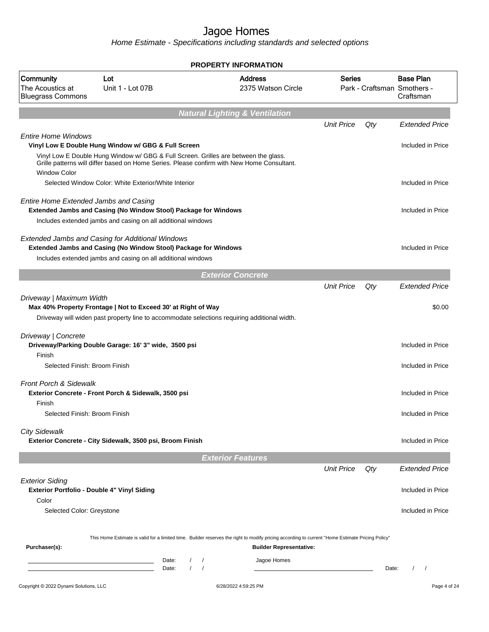|                                                                                |                                                                                                                                                                                   |                        | <b>PROPERTY INFORMATION</b>                                                                                                                      |                   |       |                                                              |
|--------------------------------------------------------------------------------|-----------------------------------------------------------------------------------------------------------------------------------------------------------------------------------|------------------------|--------------------------------------------------------------------------------------------------------------------------------------------------|-------------------|-------|--------------------------------------------------------------|
| Community<br>The Acoustics at<br><b>Bluegrass Commons</b>                      | Lot<br>Unit 1 - Lot 07B                                                                                                                                                           |                        | <b>Address</b><br>2375 Watson Circle                                                                                                             | <b>Series</b>     |       | <b>Base Plan</b><br>Park - Craftsman Smothers -<br>Craftsman |
|                                                                                |                                                                                                                                                                                   |                        | <b>Natural Lighting &amp; Ventilation</b>                                                                                                        |                   |       |                                                              |
|                                                                                |                                                                                                                                                                                   |                        |                                                                                                                                                  | <b>Unit Price</b> | Qty   | <b>Extended Price</b>                                        |
| <b>Entire Home Windows</b>                                                     | Vinyl Low E Double Hung Window w/ GBG & Full Screen                                                                                                                               |                        |                                                                                                                                                  |                   |       | Included in Price                                            |
| <b>Window Color</b>                                                            | Vinyl Low E Double Hung Window w/ GBG & Full Screen. Grilles are between the glass.<br>Grille patterns will differ based on Home Series. Please confirm with New Home Consultant. |                        |                                                                                                                                                  |                   |       |                                                              |
|                                                                                | Selected Window Color: White Exterior/White Interior                                                                                                                              |                        |                                                                                                                                                  |                   |       | Included in Price                                            |
| <b>Entire Home Extended Jambs and Casing</b>                                   | Extended Jambs and Casing (No Window Stool) Package for Windows                                                                                                                   |                        |                                                                                                                                                  |                   |       | Included in Price                                            |
|                                                                                | Includes extended jambs and casing on all additional windows                                                                                                                      |                        |                                                                                                                                                  |                   |       |                                                              |
|                                                                                | <b>Extended Jambs and Casing for Additional Windows</b><br>Extended Jambs and Casing (No Window Stool) Package for Windows                                                        |                        |                                                                                                                                                  |                   |       | Included in Price                                            |
|                                                                                | Includes extended jambs and casing on all additional windows                                                                                                                      |                        |                                                                                                                                                  |                   |       |                                                              |
|                                                                                |                                                                                                                                                                                   |                        | <b>Exterior Concrete</b>                                                                                                                         |                   |       |                                                              |
|                                                                                |                                                                                                                                                                                   |                        |                                                                                                                                                  | <b>Unit Price</b> | Qty   | <b>Extended Price</b>                                        |
| Driveway   Maximum Width                                                       | Max 40% Property Frontage   Not to Exceed 30' at Right of Way<br>Driveway will widen past property line to accommodate selections requiring additional width.                     |                        |                                                                                                                                                  |                   |       | \$0.00                                                       |
| Driveway   Concrete                                                            | Driveway/Parking Double Garage: 16' 3" wide, 3500 psi                                                                                                                             |                        |                                                                                                                                                  |                   |       | Included in Price                                            |
| Finish<br>Selected Finish: Broom Finish                                        |                                                                                                                                                                                   |                        |                                                                                                                                                  |                   |       | Included in Price                                            |
| <b>Front Porch &amp; Sidewalk</b>                                              |                                                                                                                                                                                   |                        |                                                                                                                                                  |                   |       |                                                              |
| Finish                                                                         | Exterior Concrete - Front Porch & Sidewalk, 3500 psi                                                                                                                              |                        |                                                                                                                                                  |                   |       | Included in Price                                            |
| Selected Finish: Broom Finish                                                  |                                                                                                                                                                                   |                        |                                                                                                                                                  |                   |       | Included in Price                                            |
| <b>City Sidewalk</b>                                                           | Exterior Concrete - City Sidewalk, 3500 psi, Broom Finish                                                                                                                         |                        |                                                                                                                                                  |                   |       | Included in Price                                            |
|                                                                                |                                                                                                                                                                                   |                        | <b>Exterior Features</b>                                                                                                                         |                   |       |                                                              |
|                                                                                |                                                                                                                                                                                   |                        |                                                                                                                                                  | <b>Unit Price</b> | Qty   | <b>Extended Price</b>                                        |
| <b>Exterior Siding</b><br>Exterior Portfolio - Double 4" Vinyl Siding<br>Color |                                                                                                                                                                                   |                        |                                                                                                                                                  |                   |       | Included in Price                                            |
| Selected Color: Greystone                                                      |                                                                                                                                                                                   |                        |                                                                                                                                                  |                   |       | Included in Price                                            |
|                                                                                |                                                                                                                                                                                   |                        | This Home Estimate is valid for a limited time. Builder reserves the right to modify pricing according to current "Home Estimate Pricing Policy" |                   |       |                                                              |
| Purchaser(s):                                                                  |                                                                                                                                                                                   |                        | <b>Builder Representative:</b>                                                                                                                   |                   |       |                                                              |
|                                                                                | Date:<br>Date:                                                                                                                                                                    | $\prime$<br>$\sqrt{ }$ | Jagoe Homes                                                                                                                                      |                   | Date: | $\left  \right $                                             |
| Copyright @ 2022 Dynami Solutions, LLC                                         |                                                                                                                                                                                   |                        | 6/28/2022 4:59:25 PM                                                                                                                             |                   |       | Page 4 of 24                                                 |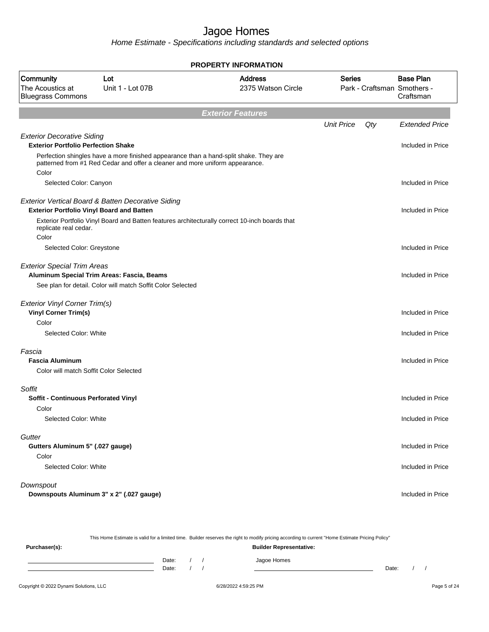Home Estimate - Specifications including standards and selected options

| <b>PROPERTY INFORMATION</b>                                                     |                                                                                                                                                                       |                                                                                                |                   |     |                                                              |  |
|---------------------------------------------------------------------------------|-----------------------------------------------------------------------------------------------------------------------------------------------------------------------|------------------------------------------------------------------------------------------------|-------------------|-----|--------------------------------------------------------------|--|
| <b>Community</b><br>The Acoustics at<br><b>Bluegrass Commons</b>                | Lot<br>Unit 1 - Lot 07B                                                                                                                                               | <b>Address</b><br>2375 Watson Circle                                                           | <b>Series</b>     |     | <b>Base Plan</b><br>Park - Craftsman Smothers -<br>Craftsman |  |
|                                                                                 |                                                                                                                                                                       | <b>Exterior Features</b>                                                                       |                   |     |                                                              |  |
|                                                                                 |                                                                                                                                                                       |                                                                                                | <b>Unit Price</b> | Qty | <b>Extended Price</b>                                        |  |
| <b>Exterior Decorative Siding</b><br><b>Exterior Portfolio Perfection Shake</b> |                                                                                                                                                                       |                                                                                                |                   |     | Included in Price                                            |  |
|                                                                                 | Perfection shingles have a more finished appearance than a hand-split shake. They are<br>patterned from #1 Red Cedar and offer a cleaner and more uniform appearance. |                                                                                                |                   |     |                                                              |  |
| Color                                                                           |                                                                                                                                                                       |                                                                                                |                   |     |                                                              |  |
| Selected Color: Canyon                                                          |                                                                                                                                                                       |                                                                                                |                   |     | Included in Price                                            |  |
| <b>Exterior Portfolio Vinyl Board and Batten</b>                                | <b>Exterior Vertical Board &amp; Batten Decorative Siding</b>                                                                                                         |                                                                                                |                   |     | Included in Price                                            |  |
| replicate real cedar.                                                           |                                                                                                                                                                       | Exterior Portfolio Vinyl Board and Batten features architecturally correct 10-inch boards that |                   |     |                                                              |  |
| Color<br>Selected Color: Greystone                                              |                                                                                                                                                                       |                                                                                                |                   |     | Included in Price                                            |  |
| <b>Exterior Special Trim Areas</b>                                              | Aluminum Special Trim Areas: Fascia, Beams                                                                                                                            |                                                                                                |                   |     | Included in Price                                            |  |
|                                                                                 | See plan for detail. Color will match Soffit Color Selected                                                                                                           |                                                                                                |                   |     |                                                              |  |
| Exterior Vinyl Corner Trim(s)<br><b>Vinyl Corner Trim(s)</b>                    |                                                                                                                                                                       |                                                                                                |                   |     | Included in Price                                            |  |
| Color                                                                           |                                                                                                                                                                       |                                                                                                |                   |     |                                                              |  |
| Selected Color: White                                                           |                                                                                                                                                                       |                                                                                                |                   |     | Included in Price                                            |  |
| Fascia                                                                          |                                                                                                                                                                       |                                                                                                |                   |     |                                                              |  |
| <b>Fascia Aluminum</b>                                                          |                                                                                                                                                                       |                                                                                                |                   |     | Included in Price                                            |  |
| Color will match Soffit Color Selected                                          |                                                                                                                                                                       |                                                                                                |                   |     |                                                              |  |
| Soffit                                                                          |                                                                                                                                                                       |                                                                                                |                   |     |                                                              |  |
| Soffit - Continuous Perforated Vinyl<br>Color                                   |                                                                                                                                                                       |                                                                                                |                   |     | Included in Price                                            |  |
| Selected Color: White                                                           |                                                                                                                                                                       |                                                                                                |                   |     | Included in Price                                            |  |
| Gutter                                                                          |                                                                                                                                                                       |                                                                                                |                   |     |                                                              |  |
| Gutters Aluminum 5" (.027 gauge)                                                |                                                                                                                                                                       |                                                                                                |                   |     | Included in Price                                            |  |
| Color<br>Selected Color: White                                                  |                                                                                                                                                                       |                                                                                                |                   |     | Included in Price                                            |  |
| Downspout                                                                       |                                                                                                                                                                       |                                                                                                |                   |     |                                                              |  |
|                                                                                 | Downspouts Aluminum 3" x 2" (.027 gauge)                                                                                                                              |                                                                                                |                   |     | Included in Price                                            |  |

This Home Estimate is valid for a limited time. Builder reserves the right to modify pricing according to current "Home Estimate Pricing Policy" **Purchaser(s): Builder Representative:**

Date: / / Jagoe Homes<br>Date: / / Jagoe Homes Date: / / **Date: / / 2006** Date: / / / Date: / / / Date: / / / 2006 Date: / / / 2006 Date: / / / 2006 Date: / / / 2006 Date: / / / 2007 Date: / / / 2007 Date: / / / 2007 Date: / / / 2007 Date: / / / 2007 Date: / / / 2007 D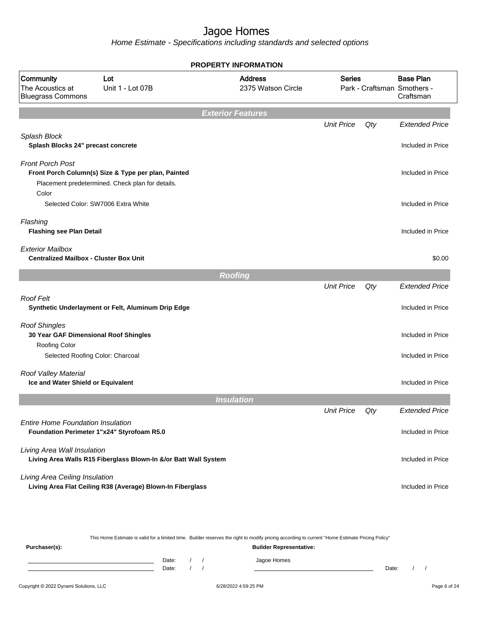Home Estimate - Specifications including standards and selected options

|                                                                                        | <b>PROPERTY INFORMATION</b>                                                                             |                                      |                   |     |                                                              |  |
|----------------------------------------------------------------------------------------|---------------------------------------------------------------------------------------------------------|--------------------------------------|-------------------|-----|--------------------------------------------------------------|--|
| Community<br>The Acoustics at<br><b>Bluegrass Commons</b>                              | Lot<br>Unit 1 - Lot 07B                                                                                 | <b>Address</b><br>2375 Watson Circle | <b>Series</b>     |     | <b>Base Plan</b><br>Park - Craftsman Smothers -<br>Craftsman |  |
|                                                                                        |                                                                                                         | <b>Exterior Features</b>             |                   |     |                                                              |  |
|                                                                                        |                                                                                                         |                                      | <b>Unit Price</b> | Qty | <b>Extended Price</b>                                        |  |
| Splash Block<br>Splash Blocks 24" precast concrete                                     |                                                                                                         |                                      |                   |     | Included in Price                                            |  |
| <b>Front Porch Post</b><br>Color                                                       | Front Porch Column(s) Size & Type per plan, Painted<br>Placement predetermined. Check plan for details. |                                      |                   |     | Included in Price                                            |  |
| Selected Color: SW7006 Extra White                                                     |                                                                                                         |                                      |                   |     | Included in Price                                            |  |
| Flashing<br><b>Flashing see Plan Detail</b>                                            |                                                                                                         |                                      |                   |     | Included in Price                                            |  |
| <b>Exterior Mailbox</b><br><b>Centralized Mailbox - Cluster Box Unit</b>               |                                                                                                         |                                      |                   |     | \$0.00                                                       |  |
|                                                                                        |                                                                                                         | <b>Roofing</b>                       |                   |     |                                                              |  |
|                                                                                        |                                                                                                         |                                      | <b>Unit Price</b> | Qty | <b>Extended Price</b>                                        |  |
| <b>Roof Felt</b>                                                                       | Synthetic Underlayment or Felt, Aluminum Drip Edge                                                      |                                      |                   |     | Included in Price                                            |  |
| <b>Roof Shingles</b><br>30 Year GAF Dimensional Roof Shingles<br><b>Roofing Color</b>  |                                                                                                         |                                      |                   |     | Included in Price                                            |  |
| Selected Roofing Color: Charcoal                                                       |                                                                                                         |                                      |                   |     | Included in Price                                            |  |
| Roof Valley Material<br>Ice and Water Shield or Equivalent                             |                                                                                                         |                                      |                   |     | Included in Price                                            |  |
|                                                                                        |                                                                                                         | <b>Insulation</b>                    |                   |     |                                                              |  |
|                                                                                        |                                                                                                         |                                      | <b>Unit Price</b> | Qty | <b>Extended Price</b>                                        |  |
| <b>Entire Home Foundation Insulation</b><br>Foundation Perimeter 1"x24" Styrofoam R5.0 |                                                                                                         |                                      |                   |     | Included in Price                                            |  |
| Living Area Wall Insulation                                                            | Living Area Walls R15 Fiberglass Blown-In &/or Batt Wall System                                         |                                      |                   |     | Included in Price                                            |  |
| Living Area Ceiling Insulation                                                         | Living Area Flat Ceiling R38 (Average) Blown-In Fiberglass                                              |                                      |                   |     | Included in Price                                            |  |

This Home Estimate is valid for a limited time. Builder reserves the right to modify pricing according to current "Home Estimate Pricing Policy"

**Purchaser(s): Builder Representative:** Date: / / Jagoe Homes<br>Date: / / Jagoe Homes Date: / / **Date: / / 2006** Date: / / **Date: / / / 2006** Date: / / / 2006 Date: / / / 2006 Date: / / / 2006 Date: / / / 2007 Date: / / / 2007 Date: / / / 2008 Date: / / / 2008 Date: / / / 2008 Date: / / / 2008 Date: / / / 2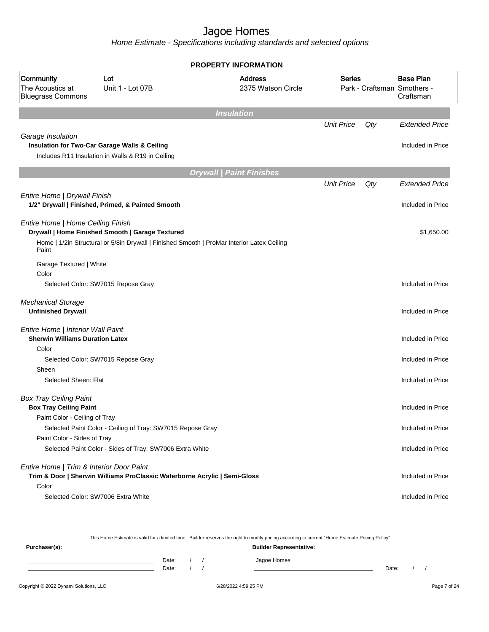Home Estimate - Specifications including standards and selected options

|                                                                             |                                                                                                                                                | <b>PROPERTY INFORMATION</b>          |                   |     |                                                              |
|-----------------------------------------------------------------------------|------------------------------------------------------------------------------------------------------------------------------------------------|--------------------------------------|-------------------|-----|--------------------------------------------------------------|
| Community<br>The Acoustics at<br><b>Bluegrass Commons</b>                   | Lot<br>Unit 1 - Lot 07B                                                                                                                        | <b>Address</b><br>2375 Watson Circle | Series            |     | <b>Base Plan</b><br>Park - Craftsman Smothers -<br>Craftsman |
|                                                                             |                                                                                                                                                | <b>Insulation</b>                    |                   |     |                                                              |
|                                                                             |                                                                                                                                                |                                      | <b>Unit Price</b> | Qty | <b>Extended Price</b>                                        |
| Garage Insulation                                                           | Insulation for Two-Car Garage Walls & Ceiling<br>Includes R11 Insulation in Walls & R19 in Ceiling                                             |                                      |                   |     | Included in Price                                            |
|                                                                             |                                                                                                                                                | <b>Drywall   Paint Finishes</b>      |                   |     |                                                              |
| Entire Home   Drywall Finish                                                |                                                                                                                                                |                                      | <b>Unit Price</b> | Qty | <b>Extended Price</b>                                        |
|                                                                             | 1/2" Drywall   Finished, Primed, & Painted Smooth                                                                                              |                                      |                   |     | Included in Price                                            |
| Entire Home   Home Ceiling Finish<br>Paint                                  | Drywall   Home Finished Smooth   Garage Textured<br>Home   1/2in Structural or 5/8in Drywall   Finished Smooth   ProMar Interior Latex Ceiling |                                      |                   |     | \$1,650.00                                                   |
| Garage Textured   White                                                     |                                                                                                                                                |                                      |                   |     |                                                              |
| Color                                                                       |                                                                                                                                                |                                      |                   |     |                                                              |
|                                                                             | Selected Color: SW7015 Repose Gray                                                                                                             |                                      |                   |     | Included in Price                                            |
| <b>Mechanical Storage</b><br><b>Unfinished Drywall</b>                      |                                                                                                                                                |                                      |                   |     | Included in Price                                            |
| Entire Home   Interior Wall Paint<br><b>Sherwin Williams Duration Latex</b> |                                                                                                                                                |                                      |                   |     | Included in Price                                            |
| Color                                                                       |                                                                                                                                                |                                      |                   |     |                                                              |
|                                                                             | Selected Color: SW7015 Repose Gray                                                                                                             |                                      |                   |     | Included in Price                                            |
| Sheen<br>Selected Sheen: Flat                                               |                                                                                                                                                |                                      |                   |     | Included in Price                                            |
| <b>Box Tray Ceiling Paint</b><br><b>Box Tray Ceiling Paint</b>              |                                                                                                                                                |                                      |                   |     | Included in Price                                            |
| Paint Color - Ceiling of Tray                                               |                                                                                                                                                |                                      |                   |     |                                                              |
|                                                                             | Selected Paint Color - Ceiling of Tray: SW7015 Repose Gray                                                                                     |                                      |                   |     | Included in Price                                            |
| Paint Color - Sides of Tray                                                 |                                                                                                                                                |                                      |                   |     |                                                              |
|                                                                             | Selected Paint Color - Sides of Tray: SW7006 Extra White                                                                                       |                                      |                   |     | Included in Price                                            |
| Entire Home   Trim & Interior Door Paint<br>Color                           | Trim & Door   Sherwin Williams ProClassic Waterborne Acrylic   Semi-Gloss                                                                      |                                      |                   |     | Included in Price                                            |
|                                                                             | Selected Color: SW7006 Extra White                                                                                                             |                                      |                   |     | Included in Price                                            |
|                                                                             |                                                                                                                                                |                                      |                   |     |                                                              |

This Home Estimate is valid for a limited time. Builder reserves the right to modify pricing according to current "Home Estimate Pricing Policy"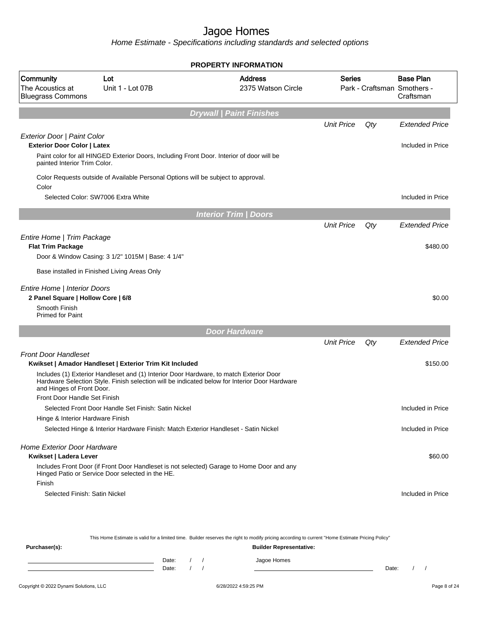Home Estimate - Specifications including standards and selected options

|                                                                                                                |                                                                                                                                                                                                                                                    | <b>PROPERTY INFORMATION</b>          |                   |     |                                                              |
|----------------------------------------------------------------------------------------------------------------|----------------------------------------------------------------------------------------------------------------------------------------------------------------------------------------------------------------------------------------------------|--------------------------------------|-------------------|-----|--------------------------------------------------------------|
| Community<br>The Acoustics at<br><b>Bluegrass Commons</b>                                                      | Lot<br>Unit 1 - Lot 07B                                                                                                                                                                                                                            | <b>Address</b><br>2375 Watson Circle | <b>Series</b>     |     | <b>Base Plan</b><br>Park - Craftsman Smothers -<br>Craftsman |
|                                                                                                                |                                                                                                                                                                                                                                                    | <b>Drywall   Paint Finishes</b>      |                   |     |                                                              |
|                                                                                                                |                                                                                                                                                                                                                                                    |                                      | <b>Unit Price</b> | Qty | <b>Extended Price</b>                                        |
| Exterior Door   Paint Color<br><b>Exterior Door Color   Latex</b><br>painted Interior Trim Color.              | Paint color for all HINGED Exterior Doors, Including Front Door. Interior of door will be                                                                                                                                                          |                                      |                   |     | Included in Price                                            |
| Color                                                                                                          | Color Requests outside of Available Personal Options will be subject to approval.                                                                                                                                                                  |                                      |                   |     |                                                              |
|                                                                                                                | Selected Color: SW7006 Extra White                                                                                                                                                                                                                 |                                      |                   |     | Included in Price                                            |
|                                                                                                                |                                                                                                                                                                                                                                                    | <b>Interior Trim / Doors</b>         |                   |     |                                                              |
|                                                                                                                |                                                                                                                                                                                                                                                    |                                      | <b>Unit Price</b> | Qty | <b>Extended Price</b>                                        |
| Entire Home   Trim Package<br><b>Flat Trim Package</b>                                                         | Door & Window Casing: 3 1/2" 1015M   Base: 4 1/4"                                                                                                                                                                                                  |                                      |                   |     | \$480.00                                                     |
|                                                                                                                | Base installed in Finished Living Areas Only                                                                                                                                                                                                       |                                      |                   |     |                                                              |
|                                                                                                                |                                                                                                                                                                                                                                                    |                                      |                   |     |                                                              |
| Entire Home   Interior Doors<br>2 Panel Square   Hollow Core   6/8<br>Smooth Finish<br><b>Primed for Paint</b> |                                                                                                                                                                                                                                                    |                                      |                   |     | \$0.00                                                       |
|                                                                                                                |                                                                                                                                                                                                                                                    | <b>Door Hardware</b>                 |                   |     |                                                              |
|                                                                                                                |                                                                                                                                                                                                                                                    |                                      | <b>Unit Price</b> | Qty | <b>Extended Price</b>                                        |
| <b>Front Door Handleset</b>                                                                                    | Kwikset   Amador Handleset   Exterior Trim Kit Included<br>Includes (1) Exterior Handleset and (1) Interior Door Hardware, to match Exterior Door<br>Hardware Selection Style. Finish selection will be indicated below for Interior Door Hardware |                                      |                   |     | \$150.00                                                     |
| and Hinges of Front Door.<br>Front Door Handle Set Finish                                                      |                                                                                                                                                                                                                                                    |                                      |                   |     |                                                              |
|                                                                                                                | Selected Front Door Handle Set Finish: Satin Nickel                                                                                                                                                                                                |                                      |                   |     | Included in Price                                            |
| Hinge & Interior Hardware Finish                                                                               |                                                                                                                                                                                                                                                    |                                      |                   |     |                                                              |
|                                                                                                                | Selected Hinge & Interior Hardware Finish: Match Exterior Handleset - Satin Nickel                                                                                                                                                                 |                                      |                   |     | Included in Price                                            |
| <b>Home Exterior Door Hardware</b><br>Kwikset   Ladera Lever                                                   | Includes Front Door (if Front Door Handleset is not selected) Garage to Home Door and any                                                                                                                                                          |                                      |                   |     | \$60.00                                                      |
| Finish                                                                                                         | Hinged Patio or Service Door selected in the HE.                                                                                                                                                                                                   |                                      |                   |     |                                                              |
| Selected Finish: Satin Nickel                                                                                  |                                                                                                                                                                                                                                                    |                                      |                   |     | Included in Price                                            |
|                                                                                                                |                                                                                                                                                                                                                                                    |                                      |                   |     |                                                              |

**Purchaser(s): Builder Representative:** Date: / / Jagoe Homes<br>Date: / / Jagoe Homes Date: / / Date: / /

This Home Estimate is valid for a limited time. Builder reserves the right to modify pricing according to current "Home Estimate Pricing Policy"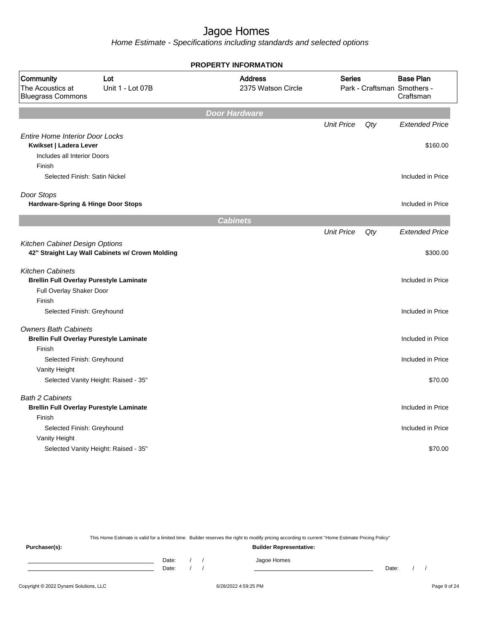Home Estimate - Specifications including standards and selected options

|                                                                                                       |                                                 | <b>PROPERTY INFORMATION</b>          |                   |     |                                                              |
|-------------------------------------------------------------------------------------------------------|-------------------------------------------------|--------------------------------------|-------------------|-----|--------------------------------------------------------------|
| Community<br>The Acoustics at<br><b>Bluegrass Commons</b>                                             | Lot<br>Unit 1 - Lot 07B                         | <b>Address</b><br>2375 Watson Circle | <b>Series</b>     |     | <b>Base Plan</b><br>Park - Craftsman Smothers -<br>Craftsman |
|                                                                                                       |                                                 | <b>Door Hardware</b>                 |                   |     |                                                              |
|                                                                                                       |                                                 |                                      | <b>Unit Price</b> | Qty | <b>Extended Price</b>                                        |
| <b>Entire Home Interior Door Locks</b><br>Kwikset   Ladera Lever<br>Includes all Interior Doors       |                                                 |                                      |                   |     | \$160.00                                                     |
| Finish<br>Selected Finish: Satin Nickel                                                               |                                                 |                                      |                   |     | Included in Price                                            |
|                                                                                                       |                                                 |                                      |                   |     |                                                              |
| Door Stops<br><b>Hardware-Spring &amp; Hinge Door Stops</b>                                           |                                                 |                                      |                   |     | Included in Price                                            |
|                                                                                                       |                                                 | <b>Cabinets</b>                      |                   |     |                                                              |
|                                                                                                       |                                                 |                                      | <b>Unit Price</b> | Qty | <b>Extended Price</b>                                        |
| Kitchen Cabinet Design Options                                                                        | 42" Straight Lay Wall Cabinets w/ Crown Molding |                                      |                   |     | \$300.00                                                     |
| <b>Kitchen Cabinets</b><br><b>Brellin Full Overlay Purestyle Laminate</b><br>Full Overlay Shaker Door |                                                 |                                      |                   |     | Included in Price                                            |
| Finish<br>Selected Finish: Greyhound                                                                  |                                                 |                                      |                   |     | Included in Price                                            |
| <b>Owners Bath Cabinets</b>                                                                           |                                                 |                                      |                   |     |                                                              |
| <b>Brellin Full Overlay Purestyle Laminate</b>                                                        |                                                 |                                      |                   |     | Included in Price                                            |
| Finish                                                                                                |                                                 |                                      |                   |     |                                                              |
| Selected Finish: Greyhound                                                                            |                                                 |                                      |                   |     | Included in Price                                            |
| Vanity Height                                                                                         |                                                 |                                      |                   |     |                                                              |
|                                                                                                       | Selected Vanity Height: Raised - 35"            |                                      |                   |     | \$70.00                                                      |
| <b>Bath 2 Cabinets</b><br><b>Brellin Full Overlay Purestyle Laminate</b>                              |                                                 |                                      |                   |     | Included in Price                                            |
| Finish                                                                                                |                                                 |                                      |                   |     |                                                              |
| Selected Finish: Greyhound                                                                            |                                                 |                                      |                   |     | Included in Price                                            |
| Vanity Height                                                                                         |                                                 |                                      |                   |     |                                                              |
|                                                                                                       | Selected Vanity Height: Raised - 35"            |                                      |                   |     | \$70.00                                                      |

This Home Estimate is valid for a limited time. Builder reserves the right to modify pricing according to current "Home Estimate Pricing Policy"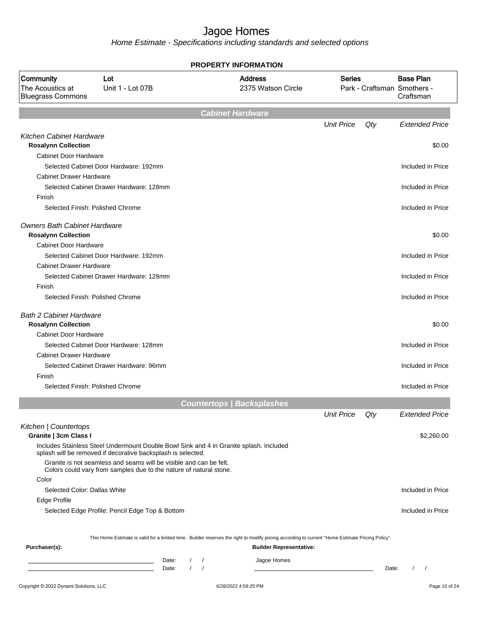|                                                           |                                                                                                                                                        |       |          |            | <b>PROPERTY INFORMATION</b>                                                                                                                      |                   |       |                                                              |
|-----------------------------------------------------------|--------------------------------------------------------------------------------------------------------------------------------------------------------|-------|----------|------------|--------------------------------------------------------------------------------------------------------------------------------------------------|-------------------|-------|--------------------------------------------------------------|
| Community<br>The Acoustics at<br><b>Bluegrass Commons</b> | Lot<br>Unit 1 - Lot 07B                                                                                                                                |       |          |            | <b>Address</b><br>2375 Watson Circle                                                                                                             | <b>Series</b>     |       | <b>Base Plan</b><br>Park - Craftsman Smothers -<br>Craftsman |
|                                                           |                                                                                                                                                        |       |          |            | <b>Cabinet Hardware</b>                                                                                                                          |                   |       |                                                              |
|                                                           |                                                                                                                                                        |       |          |            |                                                                                                                                                  | <b>Unit Price</b> | Qty   | <b>Extended Price</b>                                        |
| Kitchen Cabinet Hardware                                  |                                                                                                                                                        |       |          |            |                                                                                                                                                  |                   |       |                                                              |
| <b>Rosalynn Collection</b>                                |                                                                                                                                                        |       |          |            |                                                                                                                                                  |                   |       | \$0.00                                                       |
| Cabinet Door Hardware                                     |                                                                                                                                                        |       |          |            |                                                                                                                                                  |                   |       |                                                              |
|                                                           | Selected Cabinet Door Hardware: 192mm                                                                                                                  |       |          |            |                                                                                                                                                  |                   |       | Included in Price                                            |
| <b>Cabinet Drawer Hardware</b>                            |                                                                                                                                                        |       |          |            |                                                                                                                                                  |                   |       |                                                              |
|                                                           | Selected Cabinet Drawer Hardware: 128mm                                                                                                                |       |          |            |                                                                                                                                                  |                   |       | Included in Price                                            |
| Finish                                                    |                                                                                                                                                        |       |          |            |                                                                                                                                                  |                   |       |                                                              |
| Selected Finish: Polished Chrome                          |                                                                                                                                                        |       |          |            |                                                                                                                                                  |                   |       | Included in Price                                            |
| <b>Owners Bath Cabinet Hardware</b>                       |                                                                                                                                                        |       |          |            |                                                                                                                                                  |                   |       |                                                              |
| <b>Rosalynn Collection</b>                                |                                                                                                                                                        |       |          |            |                                                                                                                                                  |                   |       | \$0.00                                                       |
| Cabinet Door Hardware                                     |                                                                                                                                                        |       |          |            |                                                                                                                                                  |                   |       |                                                              |
|                                                           | Selected Cabinet Door Hardware: 192mm                                                                                                                  |       |          |            |                                                                                                                                                  |                   |       | Included in Price                                            |
| <b>Cabinet Drawer Hardware</b>                            |                                                                                                                                                        |       |          |            |                                                                                                                                                  |                   |       |                                                              |
|                                                           | Selected Cabinet Drawer Hardware: 128mm                                                                                                                |       |          |            |                                                                                                                                                  |                   |       | Included in Price                                            |
| Finish                                                    |                                                                                                                                                        |       |          |            |                                                                                                                                                  |                   |       |                                                              |
| Selected Finish: Polished Chrome                          |                                                                                                                                                        |       |          |            |                                                                                                                                                  |                   |       | Included in Price                                            |
| <b>Bath 2 Cabinet Hardware</b>                            |                                                                                                                                                        |       |          |            |                                                                                                                                                  |                   |       |                                                              |
| <b>Rosalynn Collection</b>                                |                                                                                                                                                        |       |          |            |                                                                                                                                                  |                   |       | \$0.00                                                       |
| Cabinet Door Hardware                                     |                                                                                                                                                        |       |          |            |                                                                                                                                                  |                   |       |                                                              |
|                                                           | Selected Cabinet Door Hardware: 128mm                                                                                                                  |       |          |            |                                                                                                                                                  |                   |       | Included in Price                                            |
| <b>Cabinet Drawer Hardware</b>                            |                                                                                                                                                        |       |          |            |                                                                                                                                                  |                   |       |                                                              |
|                                                           | Selected Cabinet Drawer Hardware: 96mm                                                                                                                 |       |          |            |                                                                                                                                                  |                   |       | Included in Price                                            |
| Finish                                                    |                                                                                                                                                        |       |          |            |                                                                                                                                                  |                   |       |                                                              |
| Selected Finish: Polished Chrome                          |                                                                                                                                                        |       |          |            |                                                                                                                                                  |                   |       | Included in Price                                            |
|                                                           |                                                                                                                                                        |       |          |            |                                                                                                                                                  |                   |       |                                                              |
|                                                           |                                                                                                                                                        |       |          |            | <b>Countertops   Backsplashes</b>                                                                                                                |                   |       |                                                              |
|                                                           |                                                                                                                                                        |       |          |            |                                                                                                                                                  | <b>Unit Price</b> | Qty   | <b>Extended Price</b>                                        |
| Kitchen   Countertops                                     |                                                                                                                                                        |       |          |            |                                                                                                                                                  |                   |       |                                                              |
| Granite   3cm Class I                                     |                                                                                                                                                        |       |          |            |                                                                                                                                                  |                   |       | \$2,260.00                                                   |
|                                                           | Includes Stainless Steel Undermount Double Bowl Sink and 4 in Granite splash. Included<br>splash will be removed if decorative backsplash is selected. |       |          |            |                                                                                                                                                  |                   |       |                                                              |
|                                                           | Granite is not seamless and seams will be visible and can be felt.<br>Colors could vary from samples due to the nature of natural stone.               |       |          |            |                                                                                                                                                  |                   |       |                                                              |
| Color                                                     |                                                                                                                                                        |       |          |            |                                                                                                                                                  |                   |       |                                                              |
| Selected Color: Dallas White                              |                                                                                                                                                        |       |          |            |                                                                                                                                                  |                   |       | Included in Price                                            |
| Edge Profile                                              |                                                                                                                                                        |       |          |            |                                                                                                                                                  |                   |       |                                                              |
|                                                           | Selected Edge Profile: Pencil Edge Top & Bottom                                                                                                        |       |          |            |                                                                                                                                                  |                   |       | Included in Price                                            |
|                                                           |                                                                                                                                                        |       |          |            |                                                                                                                                                  |                   |       |                                                              |
|                                                           |                                                                                                                                                        |       |          |            | This Home Estimate is valid for a limited time. Builder reserves the right to modify pricing according to current "Home Estimate Pricing Policy" |                   |       |                                                              |
| Purchaser(s):                                             |                                                                                                                                                        |       |          |            | <b>Builder Representative:</b>                                                                                                                   |                   |       |                                                              |
|                                                           |                                                                                                                                                        | Date: |          | $\sqrt{ }$ | Jagoe Homes                                                                                                                                      |                   |       |                                                              |
|                                                           |                                                                                                                                                        | Date: | $\prime$ | $\sqrt{ }$ |                                                                                                                                                  |                   | Date: | $\frac{1}{2}$                                                |
|                                                           |                                                                                                                                                        |       |          |            |                                                                                                                                                  |                   |       |                                                              |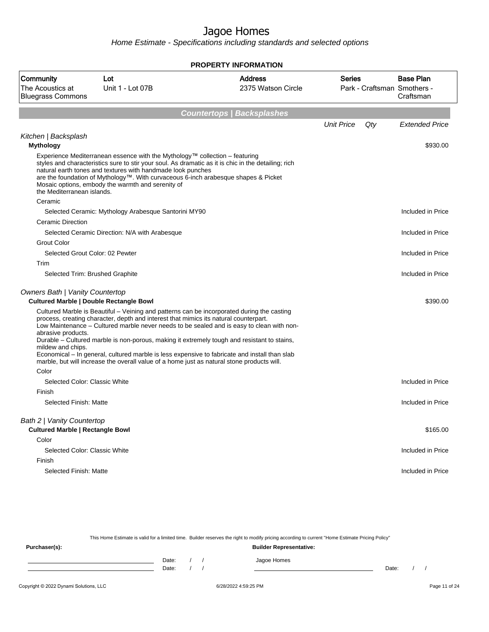Home Estimate - Specifications including standards and selected options

|                                                                       |                                                                                                                                                                                                                                                                                       | <b>PROPERTY INFORMATION</b>                                                                                                                                                                                                                                                                                                                                                             |                   |     |                                                              |
|-----------------------------------------------------------------------|---------------------------------------------------------------------------------------------------------------------------------------------------------------------------------------------------------------------------------------------------------------------------------------|-----------------------------------------------------------------------------------------------------------------------------------------------------------------------------------------------------------------------------------------------------------------------------------------------------------------------------------------------------------------------------------------|-------------------|-----|--------------------------------------------------------------|
| Community<br>The Acoustics at<br><b>Bluegrass Commons</b>             | Lot<br>Unit 1 - Lot 07B                                                                                                                                                                                                                                                               | <b>Address</b><br>2375 Watson Circle                                                                                                                                                                                                                                                                                                                                                    | <b>Series</b>     |     | <b>Base Plan</b><br>Park - Craftsman Smothers -<br>Craftsman |
|                                                                       |                                                                                                                                                                                                                                                                                       | <b>Countertops   Backsplashes</b>                                                                                                                                                                                                                                                                                                                                                       |                   |     |                                                              |
|                                                                       |                                                                                                                                                                                                                                                                                       |                                                                                                                                                                                                                                                                                                                                                                                         | <b>Unit Price</b> | Qty | <b>Extended Price</b>                                        |
| Kitchen   Backsplash<br><b>Mythology</b>                              |                                                                                                                                                                                                                                                                                       |                                                                                                                                                                                                                                                                                                                                                                                         |                   |     | \$930.00                                                     |
| the Mediterranean islands.                                            | Experience Mediterranean essence with the Mythology™ collection – featuring<br>natural earth tones and textures with handmade look punches<br>are the foundation of Mythology™. With curvaceous 6-inch arabesque shapes & Picket<br>Mosaic options, embody the warmth and serenity of | styles and characteristics sure to stir your soul. As dramatic as it is chic in the detailing; rich                                                                                                                                                                                                                                                                                     |                   |     |                                                              |
| Ceramic                                                               |                                                                                                                                                                                                                                                                                       |                                                                                                                                                                                                                                                                                                                                                                                         |                   |     |                                                              |
|                                                                       | Selected Ceramic: Mythology Arabesque Santorini MY90                                                                                                                                                                                                                                  |                                                                                                                                                                                                                                                                                                                                                                                         |                   |     | Included in Price                                            |
| <b>Ceramic Direction</b>                                              |                                                                                                                                                                                                                                                                                       |                                                                                                                                                                                                                                                                                                                                                                                         |                   |     |                                                              |
| <b>Grout Color</b>                                                    | Selected Ceramic Direction: N/A with Arabesque                                                                                                                                                                                                                                        |                                                                                                                                                                                                                                                                                                                                                                                         |                   |     | Included in Price                                            |
|                                                                       | Selected Grout Color: 02 Pewter                                                                                                                                                                                                                                                       |                                                                                                                                                                                                                                                                                                                                                                                         |                   |     | Included in Price                                            |
| Trim                                                                  |                                                                                                                                                                                                                                                                                       |                                                                                                                                                                                                                                                                                                                                                                                         |                   |     |                                                              |
|                                                                       | Selected Trim: Brushed Graphite                                                                                                                                                                                                                                                       |                                                                                                                                                                                                                                                                                                                                                                                         |                   |     | Included in Price                                            |
| <b>Owners Bath   Vanity Countertop</b>                                | <b>Cultured Marble   Double Rectangle Bowl</b>                                                                                                                                                                                                                                        |                                                                                                                                                                                                                                                                                                                                                                                         |                   |     | \$390.00                                                     |
| abrasive products.<br>mildew and chips.<br>Color                      | process, creating character, depth and interest that mimics its natural counterpart.<br>marble, but will increase the overall value of a home just as natural stone products will.                                                                                                    | Cultured Marble is Beautiful - Veining and patterns can be incorporated during the casting<br>Low Maintenance - Cultured marble never needs to be sealed and is easy to clean with non-<br>Durable - Cultured marble is non-porous, making it extremely tough and resistant to stains,<br>Economical – In general, cultured marble is less expensive to fabricate and install than slab |                   |     |                                                              |
| Selected Color: Classic White                                         |                                                                                                                                                                                                                                                                                       |                                                                                                                                                                                                                                                                                                                                                                                         |                   |     | Included in Price                                            |
| Finish                                                                |                                                                                                                                                                                                                                                                                       |                                                                                                                                                                                                                                                                                                                                                                                         |                   |     |                                                              |
| Selected Finish: Matte                                                |                                                                                                                                                                                                                                                                                       |                                                                                                                                                                                                                                                                                                                                                                                         |                   |     | Included in Price                                            |
| Bath 2   Vanity Countertop<br><b>Cultured Marble   Rectangle Bowl</b> |                                                                                                                                                                                                                                                                                       |                                                                                                                                                                                                                                                                                                                                                                                         |                   |     | \$165.00                                                     |
| Color<br>Selected Color: Classic White                                |                                                                                                                                                                                                                                                                                       |                                                                                                                                                                                                                                                                                                                                                                                         |                   |     | Included in Price                                            |
| Finish                                                                |                                                                                                                                                                                                                                                                                       |                                                                                                                                                                                                                                                                                                                                                                                         |                   |     |                                                              |
| Selected Finish: Matte                                                |                                                                                                                                                                                                                                                                                       |                                                                                                                                                                                                                                                                                                                                                                                         |                   |     | Included in Price                                            |

This Home Estimate is valid for a limited time. Builder reserves the right to modify pricing according to current "Home Estimate Pricing Policy"

**Purchaser(s): Builder Representative:** Date: / / Jagoe Homes<br>Date: / / Jagoe Homes Date: / / **Date: / / 2006** Date: / / / Date: / / / Date: / / / 2006 Date: / / / 2006 Date: / / / 2006 Date: / / / 2006 Date: / / / 2007 Date: / / / 2007 Date: / / / 2007 Date: / / / 2007 Date: / / / 2007 Date: / / / 2007 D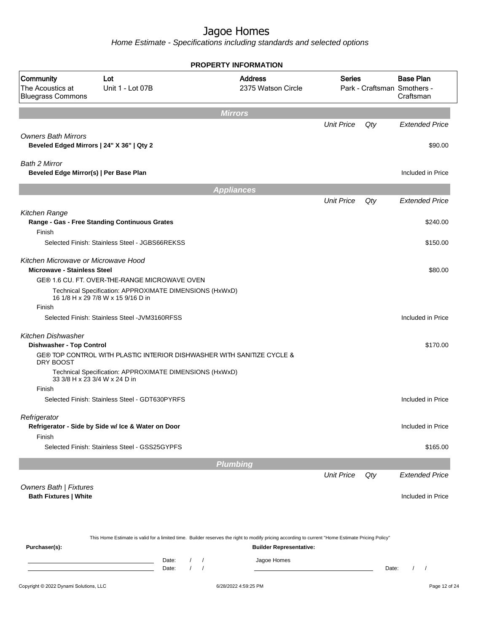|                                                                           |                                                                                                                                                  | <b>PROPERTY INFORMATION</b>              |                                |                   |       |                                                              |
|---------------------------------------------------------------------------|--------------------------------------------------------------------------------------------------------------------------------------------------|------------------------------------------|--------------------------------|-------------------|-------|--------------------------------------------------------------|
| Community<br>The Acoustics at<br><b>Bluegrass Commons</b>                 | Lot<br>Unit 1 - Lot 07B                                                                                                                          | <b>Address</b>                           | 2375 Watson Circle             | <b>Series</b>     |       | <b>Base Plan</b><br>Park - Craftsman Smothers -<br>Craftsman |
|                                                                           |                                                                                                                                                  | <b>Mirrors</b>                           |                                |                   |       |                                                              |
|                                                                           |                                                                                                                                                  |                                          |                                | <b>Unit Price</b> | Qty   | <b>Extended Price</b>                                        |
| <b>Owners Bath Mirrors</b><br>Beveled Edged Mirrors   24" X 36"   Qty 2   |                                                                                                                                                  |                                          |                                |                   |       | \$90.00                                                      |
| Bath 2 Mirror<br>Beveled Edge Mirror(s)   Per Base Plan                   |                                                                                                                                                  |                                          |                                |                   |       | Included in Price                                            |
|                                                                           |                                                                                                                                                  | <b>Appliances</b>                        |                                |                   |       |                                                              |
|                                                                           |                                                                                                                                                  |                                          |                                | <b>Unit Price</b> | Qty   | <b>Extended Price</b>                                        |
| Kitchen Range<br>Finish                                                   | Range - Gas - Free Standing Continuous Grates                                                                                                    |                                          |                                |                   |       | \$240.00                                                     |
|                                                                           | Selected Finish: Stainless Steel - JGBS66REKSS                                                                                                   |                                          |                                |                   |       | \$150.00                                                     |
| Kitchen Microwave or Microwave Hood<br><b>Microwave - Stainless Steel</b> |                                                                                                                                                  |                                          |                                |                   |       | \$80.00                                                      |
|                                                                           | GE® 1.6 CU. FT. OVER-THE-RANGE MICROWAVE OVEN                                                                                                    |                                          |                                |                   |       |                                                              |
|                                                                           | Technical Specification: APPROXIMATE DIMENSIONS (HxWxD)<br>16 1/8 H x 29 7/8 W x 15 9/16 D in                                                    |                                          |                                |                   |       |                                                              |
| Finish                                                                    | Selected Finish: Stainless Steel - JVM3160RFSS                                                                                                   |                                          |                                |                   |       | Included in Price                                            |
| <b>Kitchen Dishwasher</b><br><b>Dishwasher - Top Control</b>              |                                                                                                                                                  |                                          |                                |                   |       | \$170.00                                                     |
| DRY BOOST                                                                 | GE® TOP CONTROL WITH PLASTIC INTERIOR DISHWASHER WITH SANITIZE CYCLE &                                                                           |                                          |                                |                   |       |                                                              |
|                                                                           | Technical Specification: APPROXIMATE DIMENSIONS (HxWxD)<br>33 3/8 H x 23 3/4 W x 24 D in                                                         |                                          |                                |                   |       |                                                              |
| Finish                                                                    |                                                                                                                                                  |                                          |                                |                   |       |                                                              |
|                                                                           | Selected Finish: Stainless Steel - GDT630PYRFS                                                                                                   |                                          |                                |                   |       | Included in Price                                            |
| Refrigerator                                                              |                                                                                                                                                  |                                          |                                |                   |       | Included in Price                                            |
| Finish                                                                    | Refrigerator - Side by Side w/ Ice & Water on Door                                                                                               |                                          |                                |                   |       |                                                              |
|                                                                           | Selected Finish: Stainless Steel - GSS25GYPFS                                                                                                    |                                          |                                |                   |       | \$165.00                                                     |
|                                                                           |                                                                                                                                                  | <b>Plumbing</b>                          |                                |                   |       |                                                              |
|                                                                           |                                                                                                                                                  |                                          |                                | <b>Unit Price</b> | Qty   | <b>Extended Price</b>                                        |
| Owners Bath   Fixtures<br><b>Bath Fixtures   White</b>                    |                                                                                                                                                  |                                          |                                |                   |       | Included in Price                                            |
|                                                                           |                                                                                                                                                  |                                          |                                |                   |       |                                                              |
| Purchaser(s):                                                             | This Home Estimate is valid for a limited time. Builder reserves the right to modify pricing according to current "Home Estimate Pricing Policy" |                                          | <b>Builder Representative:</b> |                   |       |                                                              |
|                                                                           | Date:<br>$\prime$<br>Date:                                                                                                                       | $\sqrt{2}$<br>$\overline{1}$<br>$\prime$ | Jagoe Homes                    |                   | Date: | $\prime$<br>$\overline{\phantom{a}}$                         |
| Copyright © 2022 Dynami Solutions, LLC                                    |                                                                                                                                                  | 6/28/2022 4:59:25 PM                     |                                |                   |       | Page 12 of 24                                                |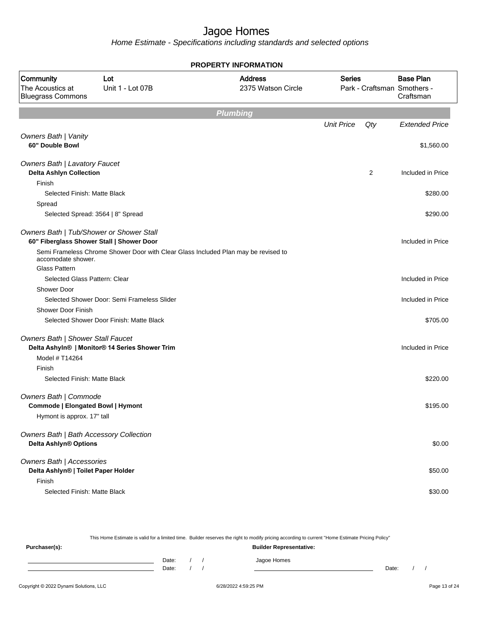Home Estimate - Specifications including standards and selected options

|                                                                   |                                                                                    | <b>PROPERTY INFORMATION</b>          |                   |     |                                                              |
|-------------------------------------------------------------------|------------------------------------------------------------------------------------|--------------------------------------|-------------------|-----|--------------------------------------------------------------|
| Community<br>The Acoustics at<br><b>Bluegrass Commons</b>         | Lot<br>Unit 1 - Lot 07B                                                            | <b>Address</b><br>2375 Watson Circle | <b>Series</b>     |     | <b>Base Plan</b><br>Park - Craftsman Smothers -<br>Craftsman |
|                                                                   |                                                                                    | <b>Plumbing</b>                      |                   |     |                                                              |
|                                                                   |                                                                                    |                                      | <b>Unit Price</b> | Qty | <b>Extended Price</b>                                        |
| Owners Bath   Vanity<br>60" Double Bowl                           |                                                                                    |                                      |                   |     | \$1,560.00                                                   |
| <b>Owners Bath   Lavatory Faucet</b>                              |                                                                                    |                                      |                   |     |                                                              |
| <b>Delta Ashlyn Collection</b>                                    |                                                                                    |                                      |                   | 2   | Included in Price                                            |
| Finish                                                            |                                                                                    |                                      |                   |     |                                                              |
| Selected Finish: Matte Black                                      |                                                                                    |                                      |                   |     | \$280.00                                                     |
| Spread                                                            |                                                                                    |                                      |                   |     |                                                              |
|                                                                   | Selected Spread: 3564   8" Spread                                                  |                                      |                   |     | \$290.00                                                     |
| Owners Bath   Tub/Shower or Shower Stall                          | 60" Fiberglass Shower Stall   Shower Door                                          |                                      |                   |     | Included in Price                                            |
| accomodate shower.                                                | Semi Frameless Chrome Shower Door with Clear Glass Included Plan may be revised to |                                      |                   |     |                                                              |
| <b>Glass Pattern</b>                                              |                                                                                    |                                      |                   |     |                                                              |
| Selected Glass Pattern: Clear                                     |                                                                                    |                                      |                   |     | Included in Price                                            |
| Shower Door                                                       |                                                                                    |                                      |                   |     |                                                              |
|                                                                   | Selected Shower Door: Semi Frameless Slider                                        |                                      |                   |     | Included in Price                                            |
| <b>Shower Door Finish</b>                                         |                                                                                    |                                      |                   |     |                                                              |
|                                                                   | Selected Shower Door Finish: Matte Black                                           |                                      |                   |     | \$705.00                                                     |
| Owners Bath   Shower Stall Faucet<br>Model # T14264               | Delta Ashyln®   Monitor® 14 Series Shower Trim                                     |                                      |                   |     | Included in Price                                            |
| Finish                                                            |                                                                                    |                                      |                   |     |                                                              |
| Selected Finish: Matte Black                                      |                                                                                    |                                      |                   |     | \$220.00                                                     |
| Owners Bath   Commode<br><b>Commode   Elongated Bowl   Hymont</b> |                                                                                    |                                      |                   |     | \$195.00                                                     |
| Hymont is approx. 17" tall                                        |                                                                                    |                                      |                   |     |                                                              |
| Owners Bath   Bath Accessory Collection<br>Delta Ashlyn® Options  |                                                                                    |                                      |                   |     | \$0.00                                                       |
| Owners Bath   Accessories<br>Delta Ashlyn®   Toilet Paper Holder  |                                                                                    |                                      |                   |     | \$50.00                                                      |
| Finish                                                            |                                                                                    |                                      |                   |     |                                                              |
| Selected Finish: Matte Black                                      |                                                                                    |                                      |                   |     | \$30.00                                                      |

This Home Estimate is valid for a limited time. Builder reserves the right to modify pricing according to current "Home Estimate Pricing Policy"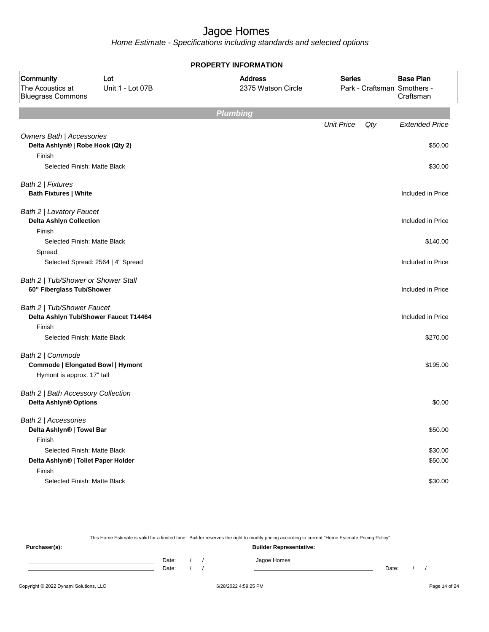Home Estimate - Specifications including standards and selected options

|                                                                                            |                                   | <b>PROPERTY INFORMATION</b>          |                   |     |                                                              |
|--------------------------------------------------------------------------------------------|-----------------------------------|--------------------------------------|-------------------|-----|--------------------------------------------------------------|
| Community<br>The Acoustics at<br><b>Bluegrass Commons</b>                                  | Lot<br>Unit 1 - Lot 07B           | <b>Address</b><br>2375 Watson Circle | <b>Series</b>     |     | <b>Base Plan</b><br>Park - Craftsman Smothers -<br>Craftsman |
|                                                                                            |                                   | <b>Plumbing</b>                      |                   |     |                                                              |
| Owners Bath   Accessories                                                                  |                                   |                                      | <b>Unit Price</b> | Qty | <b>Extended Price</b>                                        |
| Delta Ashlyn®   Robe Hook (Qty 2)<br>Finish                                                |                                   |                                      |                   |     | \$50.00                                                      |
| Selected Finish: Matte Black                                                               |                                   |                                      |                   |     | \$30.00                                                      |
| Bath 2   Fixtures<br><b>Bath Fixtures   White</b>                                          |                                   |                                      |                   |     | Included in Price                                            |
| Bath 2   Lavatory Faucet<br><b>Delta Ashlyn Collection</b><br>Finish                       |                                   |                                      |                   |     | Included in Price                                            |
| Selected Finish: Matte Black<br>Spread                                                     |                                   |                                      |                   |     | \$140.00                                                     |
|                                                                                            | Selected Spread: 2564   4" Spread |                                      |                   |     | Included in Price                                            |
| Bath 2   Tub/Shower or Shower Stall<br>60" Fiberglass Tub/Shower                           |                                   |                                      |                   |     | Included in Price                                            |
| Bath 2   Tub/Shower Faucet<br>Delta Ashlyn Tub/Shower Faucet T14464                        |                                   |                                      |                   |     | Included in Price                                            |
| Finish<br>Selected Finish: Matte Black                                                     |                                   |                                      |                   |     | \$270.00                                                     |
| Bath 2   Commode<br><b>Commode   Elongated Bowl   Hymont</b><br>Hymont is approx. 17" tall |                                   |                                      |                   |     | \$195.00                                                     |
| Bath 2   Bath Accessory Collection<br>Delta Ashlyn® Options                                |                                   |                                      |                   |     | \$0.00                                                       |
| Bath 2   Accessories<br>Delta Ashlyn®   Towel Bar<br>Finish                                |                                   |                                      |                   |     | \$50.00                                                      |
| Selected Finish: Matte Black                                                               |                                   |                                      |                   |     | \$30.00                                                      |
| Delta Ashlyn®   Toilet Paper Holder                                                        |                                   |                                      |                   |     | \$50.00                                                      |
| Finish                                                                                     |                                   |                                      |                   |     |                                                              |
| Selected Finish: Matte Black                                                               |                                   |                                      |                   |     | \$30.00                                                      |

This Home Estimate is valid for a limited time. Builder reserves the right to modify pricing according to current "Home Estimate Pricing Policy" **Purchaser(s): Builder Representative:** Date: / / Jagoe Homes<br>Date: / / Jagoe Homes Date: / / **Date: / / 2006** Date: / / / Date: / / / Date: / / / 2006 Date: / / / 2006 Date: / / / 2006 Date: / / / 2006 Date: / / / 2007 Date: / / / 2007 Date: / / / 2007 Date: / / / 2007 Date: / / / 2007 Date: / / / 2007 D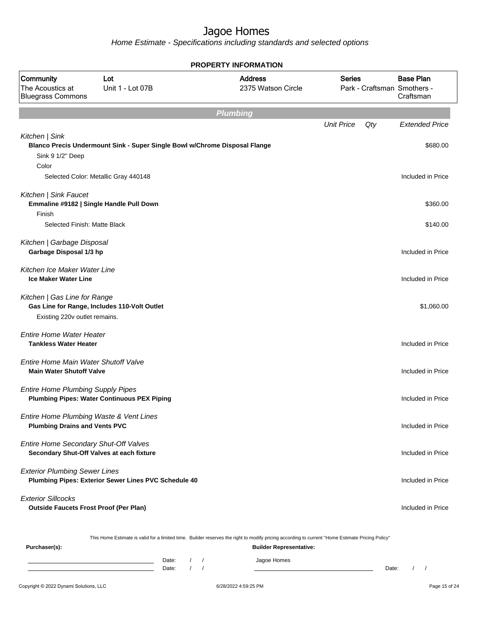Home Estimate - Specifications including standards and selected options

|                                                                                                               |                                                                            | <b>PROPERTY INFORMATION</b>          |                   |     |                                                              |
|---------------------------------------------------------------------------------------------------------------|----------------------------------------------------------------------------|--------------------------------------|-------------------|-----|--------------------------------------------------------------|
| Community<br>The Acoustics at<br><b>Bluegrass Commons</b>                                                     | Lot<br>Unit 1 - Lot 07B                                                    | <b>Address</b><br>2375 Watson Circle | <b>Series</b>     |     | <b>Base Plan</b><br>Park - Craftsman Smothers -<br>Craftsman |
|                                                                                                               |                                                                            | <b>Plumbing</b>                      |                   |     |                                                              |
|                                                                                                               |                                                                            |                                      | <b>Unit Price</b> | Qty | <b>Extended Price</b>                                        |
| Kitchen   Sink<br>Sink 9 1/2" Deep<br>Color                                                                   | Blanco Precis Undermount Sink - Super Single Bowl w/Chrome Disposal Flange |                                      |                   |     | \$680.00                                                     |
|                                                                                                               | Selected Color: Metallic Gray 440148                                       |                                      |                   |     | Included in Price                                            |
| Kitchen   Sink Faucet<br>Emmaline #9182   Single Handle Pull Down<br>Finish<br>Selected Finish: Matte Black   |                                                                            |                                      |                   |     | \$360.00<br>\$140.00                                         |
| Kitchen   Garbage Disposal<br>Garbage Disposal 1/3 hp                                                         |                                                                            |                                      |                   |     | Included in Price                                            |
| Kitchen Ice Maker Water Line<br><b>Ice Maker Water Line</b>                                                   |                                                                            |                                      |                   |     | Included in Price                                            |
| Kitchen   Gas Line for Range<br>Gas Line for Range, Includes 110-Volt Outlet<br>Existing 220v outlet remains. |                                                                            |                                      |                   |     | \$1,060.00                                                   |
| <b>Entire Home Water Heater</b><br><b>Tankless Water Heater</b>                                               |                                                                            |                                      |                   |     | Included in Price                                            |
| Entire Home Main Water Shutoff Valve<br><b>Main Water Shutoff Valve</b>                                       |                                                                            |                                      |                   |     | Included in Price                                            |
| <b>Entire Home Plumbing Supply Pipes</b>                                                                      | <b>Plumbing Pipes: Water Continuous PEX Piping</b>                         |                                      |                   |     | Included in Price                                            |
| Entire Home Plumbing Waste & Vent Lines<br><b>Plumbing Drains and Vents PVC</b>                               |                                                                            |                                      |                   |     | Included in Price                                            |
| Entire Home Secondary Shut-Off Valves<br>Secondary Shut-Off Valves at each fixture                            |                                                                            |                                      |                   |     | Included in Price                                            |
| <b>Exterior Plumbing Sewer Lines</b>                                                                          | Plumbing Pipes: Exterior Sewer Lines PVC Schedule 40                       |                                      |                   |     | Included in Price                                            |
| <b>Exterior Sillcocks</b><br><b>Outside Faucets Frost Proof (Per Plan)</b>                                    |                                                                            |                                      |                   |     | Included in Price                                            |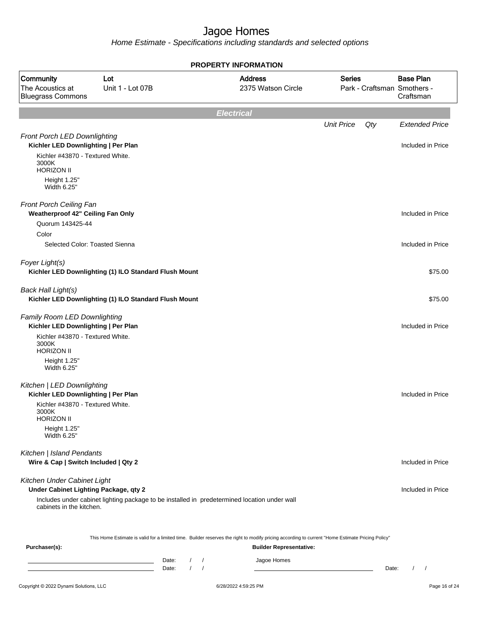Home Estimate - Specifications including standards and selected options

|                                                                      |                                                                                              |            | <b>PROPERTY INFORMATION</b>                                                                                                                      |                   |       |                                                              |
|----------------------------------------------------------------------|----------------------------------------------------------------------------------------------|------------|--------------------------------------------------------------------------------------------------------------------------------------------------|-------------------|-------|--------------------------------------------------------------|
| Community<br>The Acoustics at<br><b>Bluegrass Commons</b>            | Lot<br>Unit 1 - Lot 07B                                                                      |            | <b>Address</b><br>2375 Watson Circle                                                                                                             | <b>Series</b>     |       | <b>Base Plan</b><br>Park - Craftsman Smothers -<br>Craftsman |
|                                                                      |                                                                                              |            | <b>Electrical</b>                                                                                                                                |                   |       |                                                              |
|                                                                      |                                                                                              |            |                                                                                                                                                  | <b>Unit Price</b> | Qty   | <b>Extended Price</b>                                        |
| Front Porch LED Downlighting<br>Kichler LED Downlighting   Per Plan  |                                                                                              |            |                                                                                                                                                  |                   |       | Included in Price                                            |
| Kichler #43870 - Textured White.<br>3000K<br><b>HORIZON II</b>       |                                                                                              |            |                                                                                                                                                  |                   |       |                                                              |
| Height 1.25"<br>Width 6.25"                                          |                                                                                              |            |                                                                                                                                                  |                   |       |                                                              |
| Front Porch Ceiling Fan<br>Weatherproof 42" Ceiling Fan Only         |                                                                                              |            |                                                                                                                                                  |                   |       | Included in Price                                            |
| Quorum 143425-44                                                     |                                                                                              |            |                                                                                                                                                  |                   |       |                                                              |
| Color                                                                |                                                                                              |            |                                                                                                                                                  |                   |       |                                                              |
| Selected Color: Toasted Sienna                                       |                                                                                              |            |                                                                                                                                                  |                   |       | Included in Price                                            |
| Foyer Light(s)                                                       | Kichler LED Downlighting (1) ILO Standard Flush Mount                                        |            |                                                                                                                                                  |                   |       | \$75.00                                                      |
| <b>Back Hall Light(s)</b>                                            | Kichler LED Downlighting (1) ILO Standard Flush Mount                                        |            |                                                                                                                                                  |                   |       | \$75.00                                                      |
| Family Room LED Downlighting<br>Kichler LED Downlighting   Per Plan  |                                                                                              |            |                                                                                                                                                  |                   |       | Included in Price                                            |
| Kichler #43870 - Textured White.<br>3000K<br><b>HORIZON II</b>       |                                                                                              |            |                                                                                                                                                  |                   |       |                                                              |
| Height 1.25"<br>Width 6.25"                                          |                                                                                              |            |                                                                                                                                                  |                   |       |                                                              |
| Kitchen   LED Downlighting<br>Kichler LED Downlighting   Per Plan    |                                                                                              |            |                                                                                                                                                  |                   |       | Included in Price                                            |
| Kichler #43870 - Textured White.<br>3000K<br><b>HORIZON II</b>       |                                                                                              |            |                                                                                                                                                  |                   |       |                                                              |
| Height 1.25"<br>Width 6.25"                                          |                                                                                              |            |                                                                                                                                                  |                   |       |                                                              |
| Kitchen   Island Pendants<br>Wire & Cap   Switch Included   Qty 2    |                                                                                              |            |                                                                                                                                                  |                   |       | Included in Price                                            |
| Kitchen Under Cabinet Light<br>Under Cabinet Lighting Package, qty 2 |                                                                                              |            |                                                                                                                                                  |                   |       | Included in Price                                            |
| cabinets in the kitchen.                                             | Includes under cabinet lighting package to be installed in predetermined location under wall |            |                                                                                                                                                  |                   |       |                                                              |
|                                                                      |                                                                                              |            | This Home Estimate is valid for a limited time. Builder reserves the right to modify pricing according to current "Home Estimate Pricing Policy" |                   |       |                                                              |
| Purchaser(s):                                                        |                                                                                              |            | <b>Builder Representative:</b>                                                                                                                   |                   |       |                                                              |
|                                                                      | Date:<br>Date:                                                                               | $\sqrt{2}$ | Jagoe Homes                                                                                                                                      |                   | Date: | $\sqrt{ }$<br>$\prime$                                       |

#### Copyright © 2022 Dynami Solutions, LLC <br>
6/28/2022 4:59:25 PM Page 16 of 24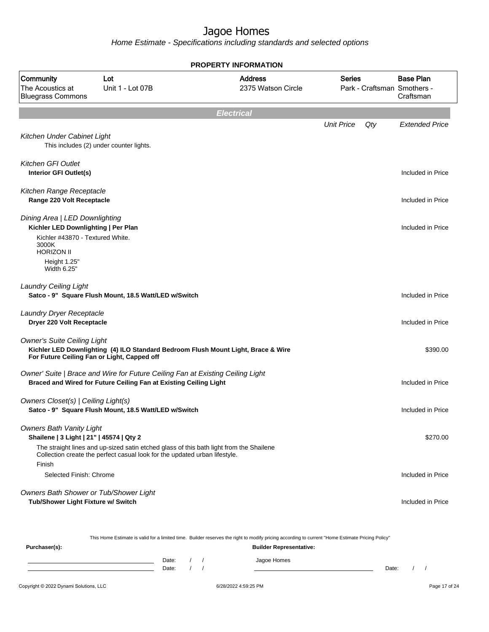Home Estimate - Specifications including standards and selected options

|                                                                                                           |                                                                                                                                                     | <b>PROPERTY INFORMATION</b>                                                             |                   |     |                                                              |
|-----------------------------------------------------------------------------------------------------------|-----------------------------------------------------------------------------------------------------------------------------------------------------|-----------------------------------------------------------------------------------------|-------------------|-----|--------------------------------------------------------------|
| Community<br>The Acoustics at<br><b>Bluegrass Commons</b>                                                 | Lot<br>Unit 1 - Lot 07B                                                                                                                             | <b>Address</b><br>2375 Watson Circle                                                    | <b>Series</b>     |     | <b>Base Plan</b><br>Park - Craftsman Smothers -<br>Craftsman |
|                                                                                                           |                                                                                                                                                     | <b>Electrical</b>                                                                       |                   |     |                                                              |
| Kitchen Under Cabinet Light                                                                               | This includes (2) under counter lights.                                                                                                             |                                                                                         | <b>Unit Price</b> | Qty | <b>Extended Price</b>                                        |
| Kitchen GFI Outlet<br>Interior GFI Outlet(s)                                                              |                                                                                                                                                     |                                                                                         |                   |     | Included in Price                                            |
| Kitchen Range Receptacle<br>Range 220 Volt Receptacle                                                     |                                                                                                                                                     |                                                                                         |                   |     | Included in Price                                            |
| Dining Area   LED Downlighting<br>Kichler LED Downlighting   Per Plan<br>Kichler #43870 - Textured White. |                                                                                                                                                     |                                                                                         |                   |     | Included in Price                                            |
| 3000K<br><b>HORIZON II</b><br>Height 1.25"<br>Width 6.25"                                                 |                                                                                                                                                     |                                                                                         |                   |     |                                                              |
| <b>Laundry Ceiling Light</b>                                                                              | Satco - 9" Square Flush Mount, 18.5 Watt/LED w/Switch                                                                                               |                                                                                         |                   |     | Included in Price                                            |
| Laundry Dryer Receptacle<br>Dryer 220 Volt Receptacle                                                     |                                                                                                                                                     |                                                                                         |                   |     | Included in Price                                            |
| <b>Owner's Suite Ceiling Light</b><br>For Future Ceiling Fan or Light, Capped off                         |                                                                                                                                                     | Kichler LED Downlighting (4) ILO Standard Bedroom Flush Mount Light, Brace & Wire       |                   |     | \$390.00                                                     |
|                                                                                                           | Owner' Suite   Brace and Wire for Future Ceiling Fan at Existing Ceiling Light<br>Braced and Wired for Future Ceiling Fan at Existing Ceiling Light |                                                                                         |                   |     | Included in Price                                            |
| Owners Closet(s)   Ceiling Light(s)                                                                       | Satco - 9" Square Flush Mount, 18.5 Watt/LED w/Switch                                                                                               |                                                                                         |                   |     | Included in Price                                            |
| <b>Owners Bath Vanity Light</b><br>Shailene   3 Light   21"   45574   Qty 2                               | Collection create the perfect casual look for the updated urban lifestyle.                                                                          | The straight lines and up-sized satin etched glass of this bath light from the Shailene |                   |     | \$270.00                                                     |
| Finish<br>Selected Finish: Chrome                                                                         |                                                                                                                                                     |                                                                                         |                   |     | Included in Price                                            |
| Owners Bath Shower or Tub/Shower Light<br>Tub/Shower Light Fixture w/ Switch                              |                                                                                                                                                     |                                                                                         |                   |     | Included in Price                                            |

This Home Estimate is valid for a limited time. Builder reserves the right to modify pricing according to current "Home Estimate Pricing Policy"

| Purchaser(s): |                |  | <b>Builder Representative:</b> |       |  |
|---------------|----------------|--|--------------------------------|-------|--|
|               | Date:<br>Date: |  | Jagoe Homes                    | Date: |  |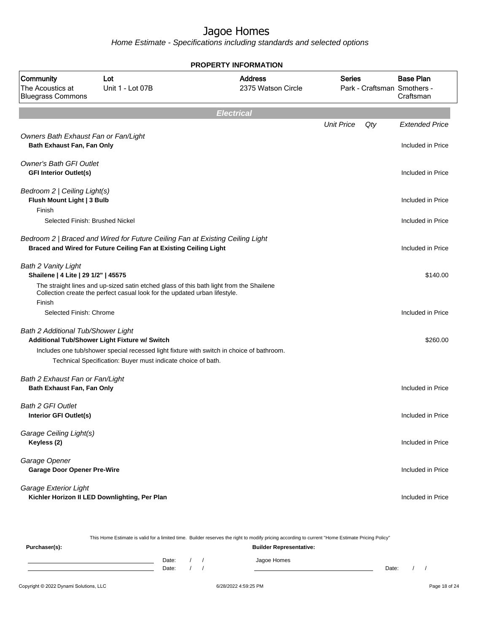Home Estimate - Specifications including standards and selected options

|                                                                      |                                                                                                                                                    | <b>PROPERTY INFORMATION</b>          |                   |     |                                                              |
|----------------------------------------------------------------------|----------------------------------------------------------------------------------------------------------------------------------------------------|--------------------------------------|-------------------|-----|--------------------------------------------------------------|
| Community<br>The Acoustics at<br><b>Bluegrass Commons</b>            | Lot<br>Unit 1 - Lot 07B                                                                                                                            | <b>Address</b><br>2375 Watson Circle | <b>Series</b>     |     | <b>Base Plan</b><br>Park - Craftsman Smothers -<br>Craftsman |
|                                                                      |                                                                                                                                                    | <b>Electrical</b>                    |                   |     |                                                              |
|                                                                      |                                                                                                                                                    |                                      | <b>Unit Price</b> | Qty | <b>Extended Price</b>                                        |
| Owners Bath Exhaust Fan or Fan/Light<br>Bath Exhaust Fan, Fan Only   |                                                                                                                                                    |                                      |                   |     | Included in Price                                            |
| <b>Owner's Bath GFI Outlet</b><br><b>GFI Interior Outlet(s)</b>      |                                                                                                                                                    |                                      |                   |     | Included in Price                                            |
| Bedroom 2   Ceiling Light(s)<br>Flush Mount Light   3 Bulb<br>Finish |                                                                                                                                                    |                                      |                   |     | Included in Price                                            |
| Selected Finish: Brushed Nickel                                      |                                                                                                                                                    |                                      |                   |     | Included in Price                                            |
|                                                                      | Bedroom 2   Braced and Wired for Future Ceiling Fan at Existing Ceiling Light<br>Braced and Wired for Future Ceiling Fan at Existing Ceiling Light |                                      |                   |     | Included in Price                                            |
| Bath 2 Vanity Light<br>Shailene   4 Lite   29 1/2"   45575           | The straight lines and up-sized satin etched glass of this bath light from the Shailene                                                            |                                      |                   |     | \$140.00                                                     |
| Finish                                                               | Collection create the perfect casual look for the updated urban lifestyle.                                                                         |                                      |                   |     |                                                              |
| Selected Finish: Chrome                                              |                                                                                                                                                    |                                      |                   |     | Included in Price                                            |
| Bath 2 Additional Tub/Shower Light                                   | Additional Tub/Shower Light Fixture w/ Switch                                                                                                      |                                      |                   |     | \$260.00                                                     |
|                                                                      | Includes one tub/shower special recessed light fixture with switch in choice of bathroom.                                                          |                                      |                   |     |                                                              |
|                                                                      | Technical Specification: Buyer must indicate choice of bath.                                                                                       |                                      |                   |     |                                                              |
| Bath 2 Exhaust Fan or Fan/Light<br>Bath Exhaust Fan, Fan Only        |                                                                                                                                                    |                                      |                   |     | Included in Price                                            |
| <b>Bath 2 GFI Outlet</b><br>Interior GFI Outlet(s)                   |                                                                                                                                                    |                                      |                   |     | Included in Price                                            |
| Garage Ceiling Light(s)<br>Keyless (2)                               |                                                                                                                                                    |                                      |                   |     | Included in Price                                            |
| Garage Opener<br><b>Garage Door Opener Pre-Wire</b>                  |                                                                                                                                                    |                                      |                   |     | Included in Price                                            |
| Garage Exterior Light                                                | Kichler Horizon II LED Downlighting, Per Plan                                                                                                      |                                      |                   |     | Included in Price                                            |

This Home Estimate is valid for a limited time. Builder reserves the right to modify pricing according to current "Home Estimate Pricing Policy"

| Purchaser(s): | <b>Builder Representative:</b> |  |  |             |       |  |  |
|---------------|--------------------------------|--|--|-------------|-------|--|--|
|               | Date:<br>Date:                 |  |  | Jagoe Homes | Date: |  |  |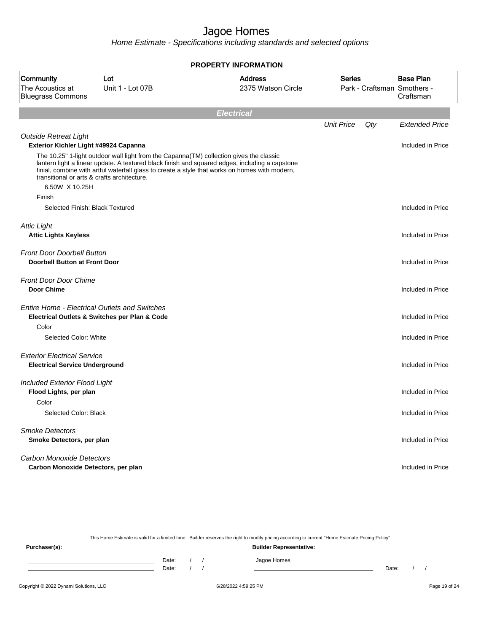Home Estimate - Specifications including standards and selected options

|                                                                             |                                               | <b>PROPERTY INFORMATION</b>                                                                                                                                                                                                                                                                 |                   |     |                                                              |
|-----------------------------------------------------------------------------|-----------------------------------------------|---------------------------------------------------------------------------------------------------------------------------------------------------------------------------------------------------------------------------------------------------------------------------------------------|-------------------|-----|--------------------------------------------------------------|
| <b>Community</b><br>The Acoustics at<br><b>Bluegrass Commons</b>            | Lot<br>Unit 1 - Lot 07B                       | <b>Address</b><br>2375 Watson Circle                                                                                                                                                                                                                                                        | <b>Series</b>     |     | <b>Base Plan</b><br>Park - Craftsman Smothers -<br>Craftsman |
|                                                                             |                                               | <b>Electrical</b>                                                                                                                                                                                                                                                                           |                   |     |                                                              |
|                                                                             |                                               |                                                                                                                                                                                                                                                                                             | <b>Unit Price</b> | Qty | <b>Extended Price</b>                                        |
| <b>Outside Retreat Light</b><br>Exterior Kichler Light #49924 Capanna       |                                               |                                                                                                                                                                                                                                                                                             |                   |     | Included in Price                                            |
| transitional or arts & crafts architecture.<br>6.50W X 10.25H               |                                               | The 10.25" 1-light outdoor wall light from the Capanna(TM) collection gives the classic<br>lantern light a linear update. A textured black finish and squared edges, including a capstone<br>finial, combine with artful waterfall glass to create a style that works on homes with modern, |                   |     |                                                              |
| Finish                                                                      |                                               |                                                                                                                                                                                                                                                                                             |                   |     |                                                              |
| Selected Finish: Black Textured                                             |                                               |                                                                                                                                                                                                                                                                                             |                   |     | Included in Price                                            |
| <b>Attic Light</b><br><b>Attic Lights Keyless</b>                           |                                               |                                                                                                                                                                                                                                                                                             |                   |     | Included in Price                                            |
| <b>Front Door Doorbell Button</b><br><b>Doorbell Button at Front Door</b>   |                                               |                                                                                                                                                                                                                                                                                             |                   |     | Included in Price                                            |
| <b>Front Door Door Chime</b><br><b>Door Chime</b>                           |                                               |                                                                                                                                                                                                                                                                                             |                   |     | Included in Price                                            |
| <b>Entire Home - Electrical Outlets and Switches</b><br>Color               | Electrical Outlets & Switches per Plan & Code |                                                                                                                                                                                                                                                                                             |                   |     | Included in Price                                            |
| Selected Color: White                                                       |                                               |                                                                                                                                                                                                                                                                                             |                   |     | Included in Price                                            |
| <b>Exterior Electrical Service</b><br><b>Electrical Service Underground</b> |                                               |                                                                                                                                                                                                                                                                                             |                   |     | Included in Price                                            |
| <b>Included Exterior Flood Light</b><br>Flood Lights, per plan<br>Color     |                                               |                                                                                                                                                                                                                                                                                             |                   |     | Included in Price                                            |
| Selected Color: Black                                                       |                                               |                                                                                                                                                                                                                                                                                             |                   |     | Included in Price                                            |
| <b>Smoke Detectors</b><br>Smoke Detectors, per plan                         |                                               |                                                                                                                                                                                                                                                                                             |                   |     | Included in Price                                            |
| <b>Carbon Monoxide Detectors</b><br>Carbon Monoxide Detectors, per plan     |                                               |                                                                                                                                                                                                                                                                                             |                   |     | Included in Price                                            |

This Home Estimate is valid for a limited time. Builder reserves the right to modify pricing according to current "Home Estimate Pricing Policy"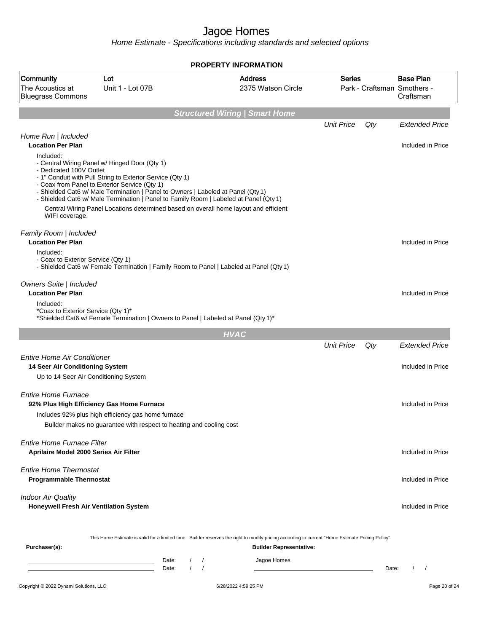|                                                                             |                                                                                                                                                                                                                                                                                                                                                                                                                                  | PROPERTY INFORMATION                                                                                                                                                               |                   |       |                                                              |
|-----------------------------------------------------------------------------|----------------------------------------------------------------------------------------------------------------------------------------------------------------------------------------------------------------------------------------------------------------------------------------------------------------------------------------------------------------------------------------------------------------------------------|------------------------------------------------------------------------------------------------------------------------------------------------------------------------------------|-------------------|-------|--------------------------------------------------------------|
| Community<br>The Acoustics at<br><b>Bluegrass Commons</b>                   | Lot<br>Unit 1 - Lot 07B                                                                                                                                                                                                                                                                                                                                                                                                          | <b>Address</b><br>2375 Watson Circle                                                                                                                                               | Series            |       | <b>Base Plan</b><br>Park - Craftsman Smothers -<br>Craftsman |
|                                                                             |                                                                                                                                                                                                                                                                                                                                                                                                                                  | <b>Structured Wiring   Smart Home</b>                                                                                                                                              |                   |       |                                                              |
| Home Run   Included                                                         |                                                                                                                                                                                                                                                                                                                                                                                                                                  |                                                                                                                                                                                    | <b>Unit Price</b> | Qty   | <b>Extended Price</b>                                        |
| <b>Location Per Plan</b>                                                    |                                                                                                                                                                                                                                                                                                                                                                                                                                  |                                                                                                                                                                                    |                   |       | Included in Price                                            |
| Included:<br>- Dedicated 100V Outlet<br>WIFI coverage.                      | - Central Wiring Panel w/ Hinged Door (Qty 1)<br>- 1" Conduit with Pull String to Exterior Service (Qty 1)<br>- Coax from Panel to Exterior Service (Qty 1)<br>- Shielded Cat6 w/ Male Termination   Panel to Owners   Labeled at Panel (Qty 1)<br>- Shielded Cat6 w/ Male Termination   Panel to Family Room   Labeled at Panel (Qty 1)<br>Central Wiring Panel Locations determined based on overall home layout and efficient |                                                                                                                                                                                    |                   |       |                                                              |
| Family Room   Included                                                      |                                                                                                                                                                                                                                                                                                                                                                                                                                  |                                                                                                                                                                                    |                   |       |                                                              |
| <b>Location Per Plan</b><br>Included:                                       |                                                                                                                                                                                                                                                                                                                                                                                                                                  |                                                                                                                                                                                    |                   |       | Included in Price                                            |
| - Coax to Exterior Service (Qty 1)                                          | - Shielded Cat6 w/ Female Termination   Family Room to Panel   Labeled at Panel (Qty 1)                                                                                                                                                                                                                                                                                                                                          |                                                                                                                                                                                    |                   |       |                                                              |
| Owners Suite   Included<br><b>Location Per Plan</b>                         |                                                                                                                                                                                                                                                                                                                                                                                                                                  |                                                                                                                                                                                    |                   |       | Included in Price                                            |
| Included:<br>*Coax to Exterior Service (Qty 1)*                             | *Shielded Cat6 w/ Female Termination   Owners to Panel   Labeled at Panel (Qty 1)*                                                                                                                                                                                                                                                                                                                                               |                                                                                                                                                                                    |                   |       |                                                              |
|                                                                             |                                                                                                                                                                                                                                                                                                                                                                                                                                  | <b>HVAC</b>                                                                                                                                                                        |                   |       |                                                              |
|                                                                             |                                                                                                                                                                                                                                                                                                                                                                                                                                  |                                                                                                                                                                                    | <b>Unit Price</b> | Qty   | <b>Extended Price</b>                                        |
| <b>Entire Home Air Conditioner</b><br>14 Seer Air Conditioning System       |                                                                                                                                                                                                                                                                                                                                                                                                                                  |                                                                                                                                                                                    |                   |       | Included in Price                                            |
| Up to 14 Seer Air Conditioning System                                       |                                                                                                                                                                                                                                                                                                                                                                                                                                  |                                                                                                                                                                                    |                   |       |                                                              |
| <b>Entire Home Furnace</b>                                                  |                                                                                                                                                                                                                                                                                                                                                                                                                                  |                                                                                                                                                                                    |                   |       |                                                              |
| 92% Plus High Efficiency Gas Home Furnace                                   |                                                                                                                                                                                                                                                                                                                                                                                                                                  |                                                                                                                                                                                    |                   |       | Included in Price                                            |
|                                                                             | Includes 92% plus high efficiency gas home furnace                                                                                                                                                                                                                                                                                                                                                                               |                                                                                                                                                                                    |                   |       |                                                              |
|                                                                             | Builder makes no guarantee with respect to heating and cooling cost                                                                                                                                                                                                                                                                                                                                                              |                                                                                                                                                                                    |                   |       |                                                              |
| <b>Entire Home Furnace Filter</b><br>Aprilaire Model 2000 Series Air Filter |                                                                                                                                                                                                                                                                                                                                                                                                                                  |                                                                                                                                                                                    |                   |       | Included in Price                                            |
| <b>Entire Home Thermostat</b><br><b>Programmable Thermostat</b>             |                                                                                                                                                                                                                                                                                                                                                                                                                                  |                                                                                                                                                                                    |                   |       | Included in Price                                            |
| <b>Indoor Air Quality</b><br>Honeywell Fresh Air Ventilation System         |                                                                                                                                                                                                                                                                                                                                                                                                                                  |                                                                                                                                                                                    |                   |       | Included in Price                                            |
| Purchaser(s):                                                               |                                                                                                                                                                                                                                                                                                                                                                                                                                  | This Home Estimate is valid for a limited time. Builder reserves the right to modify pricing according to current "Home Estimate Pricing Policy"<br><b>Builder Representative:</b> |                   |       |                                                              |
|                                                                             | Date:<br>$\sqrt{2}$<br><u> 1989 - Johann Barn, amerikansk politiker (d. 1989)</u><br>$\sqrt{ }$<br>Date:                                                                                                                                                                                                                                                                                                                         | Jagoe Homes<br>$\sqrt{ }$                                                                                                                                                          |                   | Date: | $\prime$<br>$\sqrt{ }$                                       |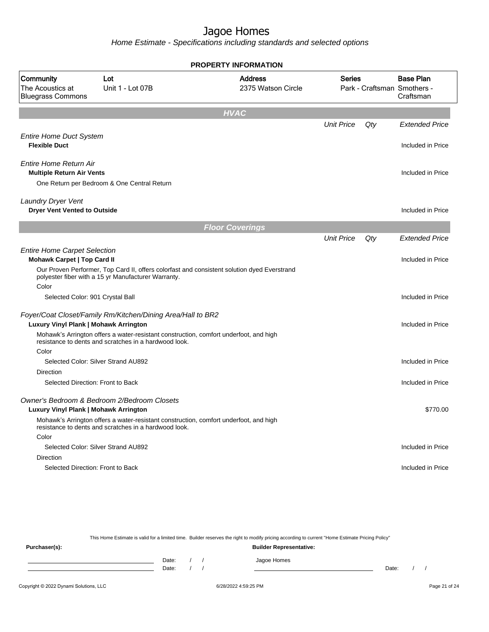Home Estimate - Specifications including standards and selected options

|                                                                                      |                                                                                                                                                | <b>PROPERTY INFORMATION</b>                                                                 |                   |                                                              |                       |
|--------------------------------------------------------------------------------------|------------------------------------------------------------------------------------------------------------------------------------------------|---------------------------------------------------------------------------------------------|-------------------|--------------------------------------------------------------|-----------------------|
| Community<br>Lot<br>The Acoustics at<br>Unit 1 - Lot 07B<br><b>Bluegrass Commons</b> |                                                                                                                                                | <b>Address</b><br>2375 Watson Circle                                                        | <b>Series</b>     | <b>Base Plan</b><br>Park - Craftsman Smothers -<br>Craftsman |                       |
|                                                                                      |                                                                                                                                                | <b>HVAC</b>                                                                                 |                   |                                                              |                       |
|                                                                                      |                                                                                                                                                |                                                                                             | <b>Unit Price</b> | Qty                                                          | <b>Extended Price</b> |
| <b>Entire Home Duct System</b><br><b>Flexible Duct</b>                               |                                                                                                                                                |                                                                                             |                   |                                                              | Included in Price     |
| Entire Home Return Air<br><b>Multiple Return Air Vents</b>                           |                                                                                                                                                |                                                                                             |                   |                                                              | Included in Price     |
|                                                                                      | One Return per Bedroom & One Central Return                                                                                                    |                                                                                             |                   |                                                              |                       |
| Laundry Dryer Vent                                                                   |                                                                                                                                                |                                                                                             |                   |                                                              |                       |
| <b>Dryer Vent Vented to Outside</b>                                                  |                                                                                                                                                |                                                                                             |                   |                                                              | Included in Price     |
|                                                                                      |                                                                                                                                                | <b>Floor Coverings</b>                                                                      |                   |                                                              |                       |
|                                                                                      |                                                                                                                                                |                                                                                             | <b>Unit Price</b> | Qty                                                          | <b>Extended Price</b> |
| <b>Entire Home Carpet Selection</b><br><b>Mohawk Carpet   Top Card II</b>            |                                                                                                                                                |                                                                                             |                   |                                                              | Included in Price     |
|                                                                                      | polyester fiber with a 15 yr Manufacturer Warranty.                                                                                            | Our Proven Performer, Top Card II, offers colorfast and consistent solution dyed Everstrand |                   |                                                              |                       |
| Color<br>Selected Color: 901 Crystal Ball                                            |                                                                                                                                                |                                                                                             |                   |                                                              | Included in Price     |
|                                                                                      |                                                                                                                                                |                                                                                             |                   |                                                              |                       |
| Luxury Vinyl Plank   Mohawk Arrington                                                | Foyer/Coat Closet/Family Rm/Kitchen/Dining Area/Hall to BR2                                                                                    |                                                                                             |                   |                                                              | Included in Price     |
|                                                                                      | Mohawk's Arrington offers a water-resistant construction, comfort underfoot, and high<br>resistance to dents and scratches in a hardwood look. |                                                                                             |                   |                                                              |                       |
| Color                                                                                | Selected Color: Silver Strand AU892                                                                                                            |                                                                                             |                   |                                                              | Included in Price     |
| Direction                                                                            |                                                                                                                                                |                                                                                             |                   |                                                              |                       |
| Selected Direction: Front to Back                                                    |                                                                                                                                                |                                                                                             |                   |                                                              | Included in Price     |
| Luxury Vinyl Plank   Mohawk Arrington                                                | Owner's Bedroom & Bedroom 2/Bedroom Closets<br>Mohawk's Arrington offers a water-resistant construction, comfort underfoot, and high           |                                                                                             |                   |                                                              | \$770.00              |
|                                                                                      | resistance to dents and scratches in a hardwood look.                                                                                          |                                                                                             |                   |                                                              |                       |
| Color                                                                                |                                                                                                                                                |                                                                                             |                   |                                                              |                       |
|                                                                                      | Selected Color: Silver Strand AU892                                                                                                            |                                                                                             |                   |                                                              | Included in Price     |
| <b>Direction</b>                                                                     |                                                                                                                                                |                                                                                             |                   |                                                              | Included in Price     |
| Selected Direction: Front to Back                                                    |                                                                                                                                                |                                                                                             |                   |                                                              |                       |
|                                                                                      |                                                                                                                                                |                                                                                             |                   |                                                              |                       |

This Home Estimate is valid for a limited time. Builder reserves the right to modify pricing according to current "Home Estimate Pricing Policy" **Purchaser(s): Builder Representative:**

| Date: |  | Jagoe Homes<br>and the contract of the con- |       |  |
|-------|--|---------------------------------------------|-------|--|
| Date: |  |                                             | Date: |  |
|       |  |                                             |       |  |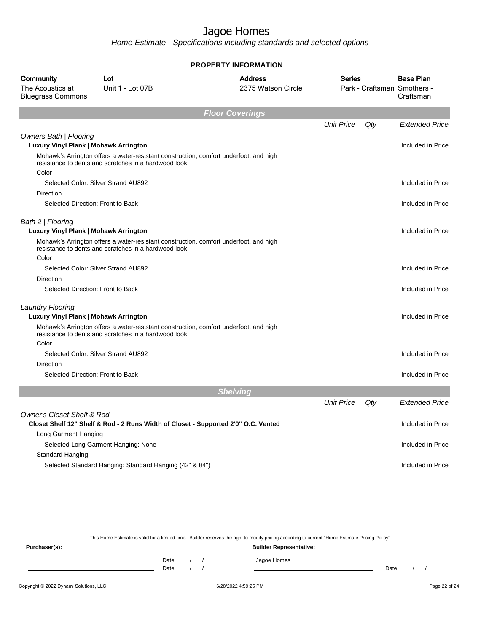Home Estimate - Specifications including standards and selected options

|                                                           |                                                                                                                                                | <b>PROPERTY INFORMATION</b>          |                   |     |                                                              |
|-----------------------------------------------------------|------------------------------------------------------------------------------------------------------------------------------------------------|--------------------------------------|-------------------|-----|--------------------------------------------------------------|
| Community<br>The Acoustics at<br><b>Bluegrass Commons</b> | Lot<br>Unit 1 - Lot 07B                                                                                                                        | <b>Address</b><br>2375 Watson Circle | <b>Series</b>     |     | <b>Base Plan</b><br>Park - Craftsman Smothers -<br>Craftsman |
|                                                           |                                                                                                                                                | <b>Floor Coverings</b>               |                   |     |                                                              |
|                                                           |                                                                                                                                                |                                      | <b>Unit Price</b> | Qty | <b>Extended Price</b>                                        |
| Owners Bath   Flooring                                    |                                                                                                                                                |                                      |                   |     |                                                              |
| Luxury Vinyl Plank   Mohawk Arrington                     |                                                                                                                                                |                                      |                   |     | Included in Price                                            |
| Color                                                     | Mohawk's Arrington offers a water-resistant construction, comfort underfoot, and high<br>resistance to dents and scratches in a hardwood look. |                                      |                   |     |                                                              |
|                                                           | Selected Color: Silver Strand AU892                                                                                                            |                                      |                   |     | Included in Price                                            |
| <b>Direction</b>                                          |                                                                                                                                                |                                      |                   |     |                                                              |
|                                                           | Selected Direction: Front to Back                                                                                                              |                                      |                   |     | Included in Price                                            |
| Bath 2   Flooring                                         |                                                                                                                                                |                                      |                   |     |                                                              |
| Luxury Vinyl Plank   Mohawk Arrington                     |                                                                                                                                                |                                      |                   |     | Included in Price                                            |
|                                                           | Mohawk's Arrington offers a water-resistant construction, comfort underfoot, and high<br>resistance to dents and scratches in a hardwood look. |                                      |                   |     |                                                              |
| Color                                                     |                                                                                                                                                |                                      |                   |     |                                                              |
|                                                           | Selected Color: Silver Strand AU892                                                                                                            |                                      |                   |     | Included in Price                                            |
| <b>Direction</b>                                          |                                                                                                                                                |                                      |                   |     |                                                              |
|                                                           | Selected Direction: Front to Back                                                                                                              |                                      |                   |     | Included in Price                                            |
| <b>Laundry Flooring</b>                                   |                                                                                                                                                |                                      |                   |     |                                                              |
| Luxury Vinyl Plank   Mohawk Arrington                     |                                                                                                                                                |                                      |                   |     | Included in Price                                            |
|                                                           | Mohawk's Arrington offers a water-resistant construction, comfort underfoot, and high<br>resistance to dents and scratches in a hardwood look. |                                      |                   |     |                                                              |
| Color                                                     |                                                                                                                                                |                                      |                   |     |                                                              |
|                                                           | Selected Color: Silver Strand AU892                                                                                                            |                                      |                   |     | Included in Price                                            |
| <b>Direction</b>                                          |                                                                                                                                                |                                      |                   |     |                                                              |
|                                                           | Selected Direction: Front to Back                                                                                                              |                                      |                   |     | Included in Price                                            |
|                                                           |                                                                                                                                                | <b>Shelving</b>                      |                   |     |                                                              |
|                                                           |                                                                                                                                                |                                      | <b>Unit Price</b> | Qty | <b>Extended Price</b>                                        |
| <b>Owner's Closet Shelf &amp; Rod</b>                     |                                                                                                                                                |                                      |                   |     |                                                              |
|                                                           | Closet Shelf 12" Shelf & Rod - 2 Runs Width of Closet - Supported 2'0" O.C. Vented                                                             |                                      |                   |     | Included in Price                                            |
| Long Garment Hanging                                      |                                                                                                                                                |                                      |                   |     |                                                              |
|                                                           | Selected Long Garment Hanging: None                                                                                                            |                                      |                   |     | Included in Price                                            |
| <b>Standard Hanging</b>                                   |                                                                                                                                                |                                      |                   |     |                                                              |
|                                                           | Selected Standard Hanging: Standard Hanging (42" & 84")                                                                                        |                                      |                   |     | Included in Price                                            |

This Home Estimate is valid for a limited time. Builder reserves the right to modify pricing according to current "Home Estimate Pricing Policy"

**Purchaser(s): Builder Representative:** Date: / / Jagoe Homes<br>Date: / / Jagoe Homes Date: / / **Date: / / 2006** Date: / / / Date: / / / Date: / / / 2006 Date: / / / 2006 Date: / / / 2006 Date: / / / 2006 Date: / / / 2007 Date: / / / 2007 Date: / / / 2007 Date: / / / 2007 Date: / / / 2007 Date: / / / 2007 D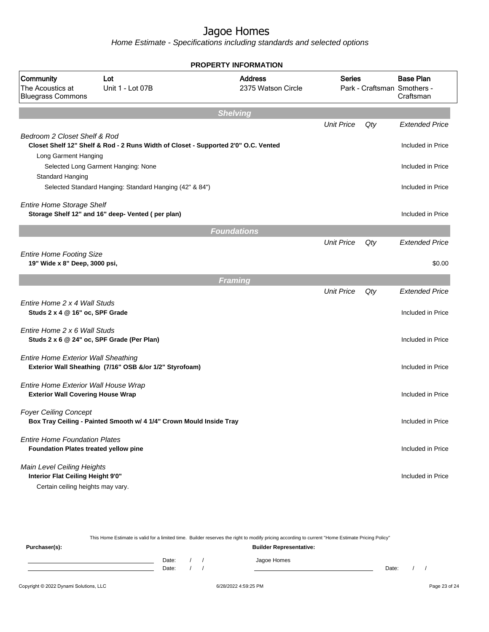|                                                                                                      |                                                                                    | <b>PROPERTY INFORMATION</b>          |                   |     |                                                              |
|------------------------------------------------------------------------------------------------------|------------------------------------------------------------------------------------|--------------------------------------|-------------------|-----|--------------------------------------------------------------|
| Community<br>The Acoustics at<br><b>Bluegrass Commons</b>                                            | Lot<br>Unit 1 - Lot 07B                                                            | <b>Address</b><br>2375 Watson Circle | <b>Series</b>     |     | <b>Base Plan</b><br>Park - Craftsman Smothers -<br>Craftsman |
|                                                                                                      |                                                                                    | <b>Shelving</b>                      |                   |     |                                                              |
| Bedroom 2 Closet Shelf & Rod                                                                         |                                                                                    |                                      | <b>Unit Price</b> | Qty | <b>Extended Price</b>                                        |
| Long Garment Hanging                                                                                 | Closet Shelf 12" Shelf & Rod - 2 Runs Width of Closet - Supported 2'0" O.C. Vented |                                      |                   |     | Included in Price                                            |
|                                                                                                      | Selected Long Garment Hanging: None                                                |                                      |                   |     | Included in Price                                            |
| Standard Hanging                                                                                     | Selected Standard Hanging: Standard Hanging (42" & 84")                            |                                      |                   |     | Included in Price                                            |
| <b>Entire Home Storage Shelf</b>                                                                     | Storage Shelf 12" and 16" deep- Vented (per plan)                                  |                                      |                   |     | Included in Price                                            |
|                                                                                                      |                                                                                    | <b>Foundations</b>                   |                   |     |                                                              |
| <b>Entire Home Footing Size</b>                                                                      |                                                                                    |                                      | <b>Unit Price</b> | Qty | <b>Extended Price</b>                                        |
| 19" Wide x 8" Deep, 3000 psi,                                                                        |                                                                                    |                                      |                   |     | \$0.00                                                       |
|                                                                                                      |                                                                                    | <b>Framing</b>                       |                   |     |                                                              |
|                                                                                                      |                                                                                    |                                      | <b>Unit Price</b> | Qty | <b>Extended Price</b>                                        |
| Entire Home 2 x 4 Wall Studs<br>Studs 2 x 4 @ 16" oc, SPF Grade                                      |                                                                                    |                                      |                   |     | Included in Price                                            |
| Entire Home 2 x 6 Wall Studs<br>Studs 2 x 6 @ 24" oc, SPF Grade (Per Plan)                           |                                                                                    |                                      |                   |     | Included in Price                                            |
| <b>Entire Home Exterior Wall Sheathing</b>                                                           | Exterior Wall Sheathing (7/16" OSB &/or 1/2" Styrofoam)                            |                                      |                   |     | Included in Price                                            |
| Entire Home Exterior Wall House Wrap<br><b>Exterior Wall Covering House Wrap</b>                     |                                                                                    |                                      |                   |     | Included in Price                                            |
| <b>Foyer Ceiling Concept</b>                                                                         | Box Tray Ceiling - Painted Smooth w/ 4 1/4" Crown Mould Inside Tray                |                                      |                   |     | Included in Price                                            |
| <b>Entire Home Foundation Plates</b><br><b>Foundation Plates treated yellow pine</b>                 |                                                                                    |                                      |                   |     | Included in Price                                            |
| Main Level Ceiling Heights<br>Interior Flat Ceiling Height 9'0"<br>Certain ceiling heights may vary. |                                                                                    |                                      |                   |     | Included in Price                                            |

|               | This Home Estimate is valid for a limited time. Builder reserves the right to modify pricing according to current "Home Estimate Pricing Policy" |  |  |                                |       |  |  |  |
|---------------|--------------------------------------------------------------------------------------------------------------------------------------------------|--|--|--------------------------------|-------|--|--|--|
| Purchaser(s): |                                                                                                                                                  |  |  | <b>Builder Representative:</b> |       |  |  |  |
|               | Date:                                                                                                                                            |  |  | Jagoe Homes                    |       |  |  |  |
|               | Date:                                                                                                                                            |  |  |                                | Date: |  |  |  |
|               |                                                                                                                                                  |  |  |                                |       |  |  |  |